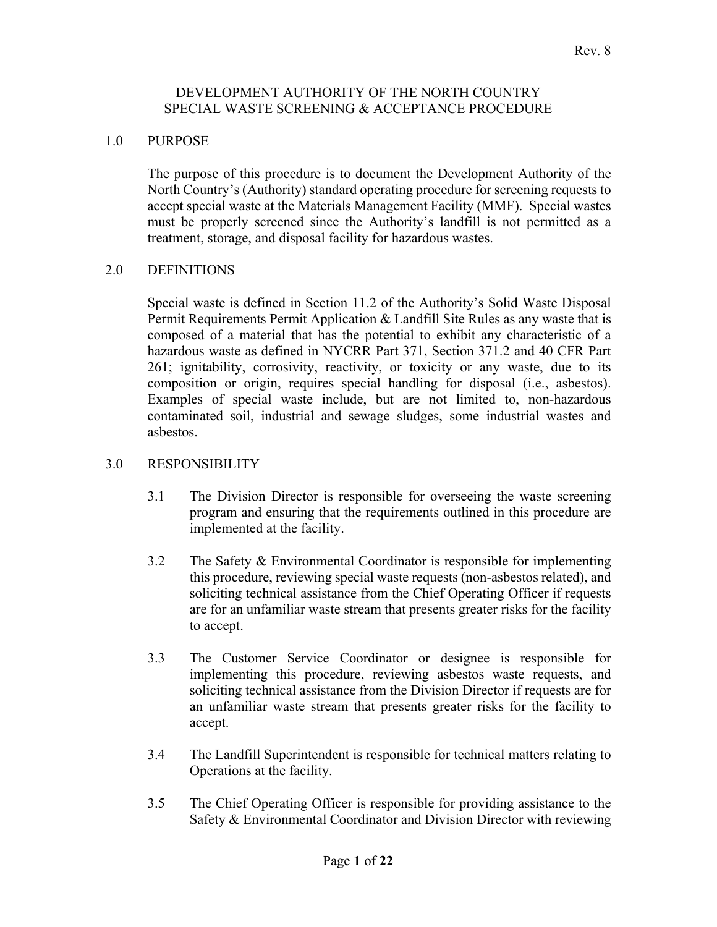### DEVELOPMENT AUTHORITY OF THE NORTH COUNTRY SPECIAL WASTE SCREENING & ACCEPTANCE PROCEDURE

### 1.0 PURPOSE

The purpose of this procedure is to document the Development Authority of the North Country's (Authority) standard operating procedure for screening requests to accept special waste at the Materials Management Facility (MMF). Special wastes must be properly screened since the Authority's landfill is not permitted as a treatment, storage, and disposal facility for hazardous wastes.

### 2.0 DEFINITIONS

Special waste is defined in Section 11.2 of the Authority's Solid Waste Disposal Permit Requirements Permit Application & Landfill Site Rules as any waste that is composed of a material that has the potential to exhibit any characteristic of a hazardous waste as defined in NYCRR Part 371, Section 371.2 and 40 CFR Part 261; ignitability, corrosivity, reactivity, or toxicity or any waste, due to its composition or origin, requires special handling for disposal (i.e., asbestos). Examples of special waste include, but are not limited to, non-hazardous contaminated soil, industrial and sewage sludges, some industrial wastes and asbestos.

### 3.0 RESPONSIBILITY

- 3.1 The Division Director is responsible for overseeing the waste screening program and ensuring that the requirements outlined in this procedure are implemented at the facility.
- 3.2 The Safety & Environmental Coordinator is responsible for implementing this procedure, reviewing special waste requests (non-asbestos related), and soliciting technical assistance from the Chief Operating Officer if requests are for an unfamiliar waste stream that presents greater risks for the facility to accept.
- 3.3 The Customer Service Coordinator or designee is responsible for implementing this procedure, reviewing asbestos waste requests, and soliciting technical assistance from the Division Director if requests are for an unfamiliar waste stream that presents greater risks for the facility to accept.
- 3.4 The Landfill Superintendent is responsible for technical matters relating to Operations at the facility.
- 3.5 The Chief Operating Officer is responsible for providing assistance to the Safety & Environmental Coordinator and Division Director with reviewing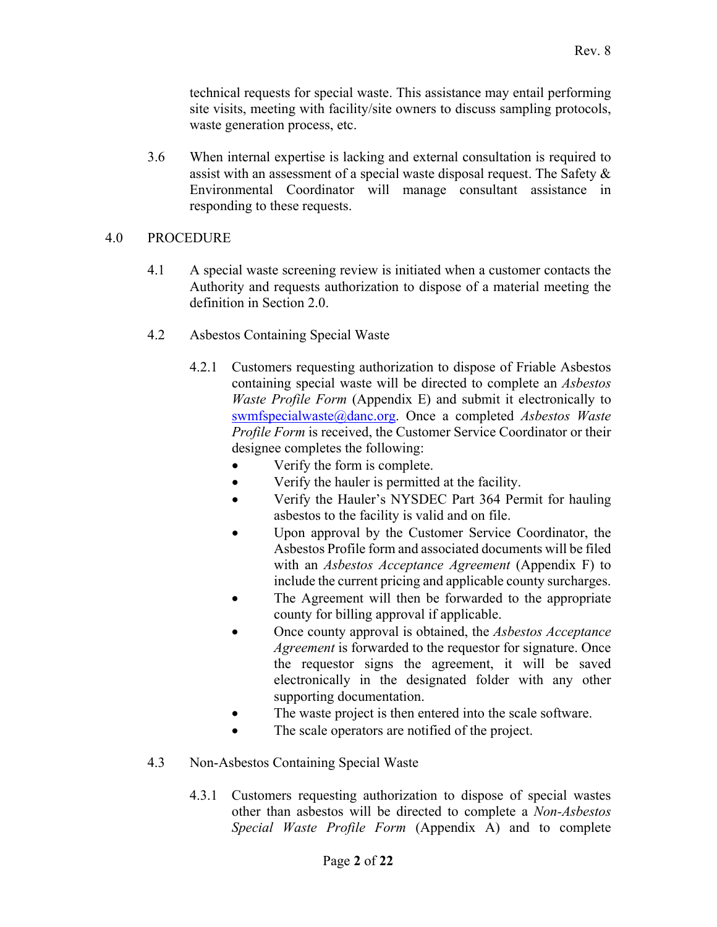technical requests for special waste. This assistance may entail performing site visits, meeting with facility/site owners to discuss sampling protocols, waste generation process, etc.

3.6 When internal expertise is lacking and external consultation is required to assist with an assessment of a special waste disposal request. The Safety & Environmental Coordinator will manage consultant assistance in responding to these requests.

## 4.0 PROCEDURE

- 4.1 A special waste screening review is initiated when a customer contacts the Authority and requests authorization to dispose of a material meeting the definition in Section 2.0.
- 4.2 Asbestos Containing Special Waste
	- 4.2.1 Customers requesting authorization to dispose of Friable Asbestos containing special waste will be directed to complete an *Asbestos Waste Profile Form* (Appendix E) and submit it electronically to swmfspecialwaste@danc.org. Once a completed *Asbestos Waste Profile Form* is received, the Customer Service Coordinator or their designee completes the following:
		- Verify the form is complete.
		- Verify the hauler is permitted at the facility.
		- Verify the Hauler's NYSDEC Part 364 Permit for hauling asbestos to the facility is valid and on file.
		- Upon approval by the Customer Service Coordinator, the Asbestos Profile form and associated documents will be filed with an *Asbestos Acceptance Agreement* (Appendix F) to include the current pricing and applicable county surcharges.
		- The Agreement will then be forwarded to the appropriate county for billing approval if applicable.
		- Once county approval is obtained, the *Asbestos Acceptance Agreement* is forwarded to the requestor for signature. Once the requestor signs the agreement, it will be saved electronically in the designated folder with any other supporting documentation.
		- The waste project is then entered into the scale software.
		- The scale operators are notified of the project.
- 4.3 Non-Asbestos Containing Special Waste
	- 4.3.1 Customers requesting authorization to dispose of special wastes other than asbestos will be directed to complete a *Non-Asbestos Special Waste Profile Form* (Appendix A) and to complete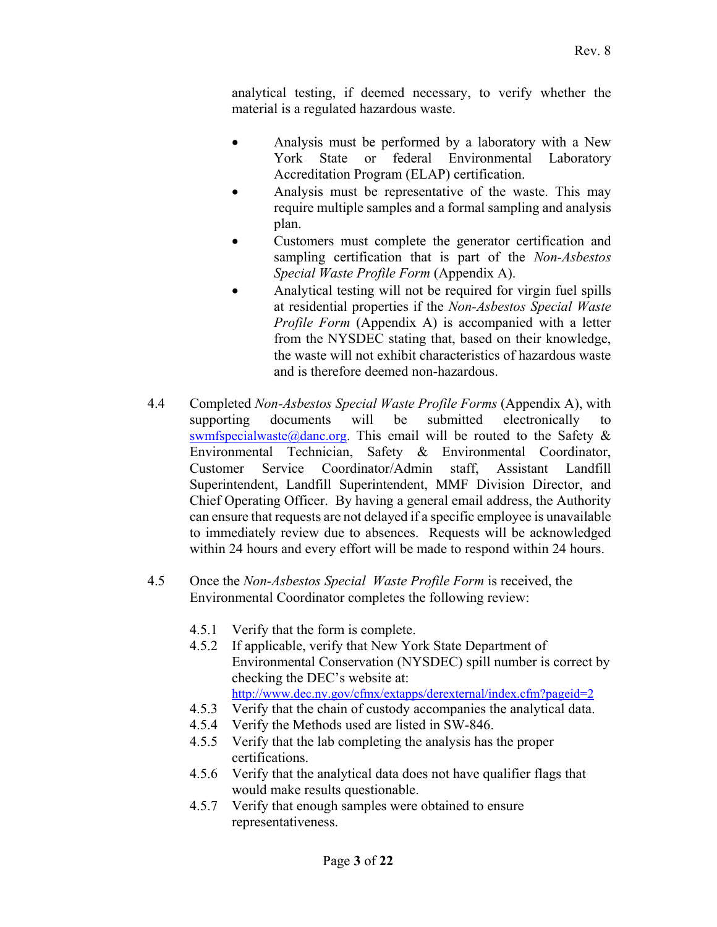analytical testing, if deemed necessary, to verify whether the material is a regulated hazardous waste.

- Analysis must be performed by a laboratory with a New York State or federal Environmental Laboratory Accreditation Program (ELAP) certification.
- Analysis must be representative of the waste. This may require multiple samples and a formal sampling and analysis plan.
- Customers must complete the generator certification and sampling certification that is part of the *Non-Asbestos Special Waste Profile Form* (Appendix A).
- Analytical testing will not be required for virgin fuel spills at residential properties if the *Non-Asbestos Special Waste Profile Form* (Appendix A) is accompanied with a letter from the NYSDEC stating that, based on their knowledge, the waste will not exhibit characteristics of hazardous waste and is therefore deemed non-hazardous.
- 4.4 Completed *Non-Asbestos Special Waste Profile Forms* (Appendix A), with supporting documents will be submitted electronically to swmfspecialwaste@danc.org. This email will be routed to the Safety  $\&$ Environmental Technician, Safety & Environmental Coordinator, Customer Service Coordinator/Admin staff, Assistant Landfill Superintendent, Landfill Superintendent, MMF Division Director, and Chief Operating Officer. By having a general email address, the Authority can ensure that requests are not delayed if a specific employee is unavailable to immediately review due to absences. Requests will be acknowledged within 24 hours and every effort will be made to respond within 24 hours.
- 4.5 Once the *Non-Asbestos Special Waste Profile Form* is received, the Environmental Coordinator completes the following review:
	- 4.5.1 Verify that the form is complete.
	- 4.5.2 If applicable, verify that New York State Department of Environmental Conservation (NYSDEC) spill number is correct by checking the DEC's website at:
	- http://www.dec.ny.gov/cfmx/extapps/derexternal/index.cfm?pageid=2
	- 4.5.3 Verify that the chain of custody accompanies the analytical data.
	- 4.5.4 Verify the Methods used are listed in SW-846.
	- 4.5.5 Verify that the lab completing the analysis has the proper certifications.
	- 4.5.6 Verify that the analytical data does not have qualifier flags that would make results questionable.
	- 4.5.7 Verify that enough samples were obtained to ensure representativeness.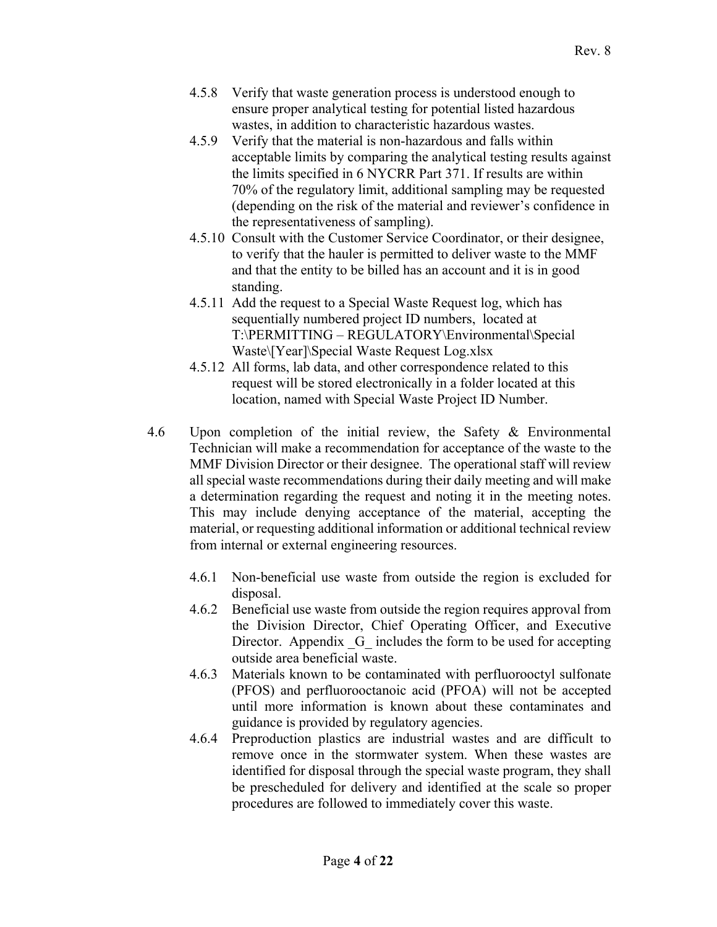- 4.5.8 Verify that waste generation process is understood enough to ensure proper analytical testing for potential listed hazardous wastes, in addition to characteristic hazardous wastes.
- 4.5.9 Verify that the material is non-hazardous and falls within acceptable limits by comparing the analytical testing results against the limits specified in 6 NYCRR Part 371. If results are within 70% of the regulatory limit, additional sampling may be requested (depending on the risk of the material and reviewer's confidence in the representativeness of sampling).
- 4.5.10 Consult with the Customer Service Coordinator, or their designee, to verify that the hauler is permitted to deliver waste to the MMF and that the entity to be billed has an account and it is in good standing.
- 4.5.11 Add the request to a Special Waste Request log, which has sequentially numbered project ID numbers, located at T:\PERMITTING – REGULATORY\Environmental\Special Waste\[Year]\Special Waste Request Log.xlsx
- 4.5.12 All forms, lab data, and other correspondence related to this request will be stored electronically in a folder located at this location, named with Special Waste Project ID Number.
- 4.6 Upon completion of the initial review, the Safety & Environmental Technician will make a recommendation for acceptance of the waste to the MMF Division Director or their designee. The operational staff will review all special waste recommendations during their daily meeting and will make a determination regarding the request and noting it in the meeting notes. This may include denying acceptance of the material, accepting the material, or requesting additional information or additional technical review from internal or external engineering resources.
	- 4.6.1 Non-beneficial use waste from outside the region is excluded for disposal.
	- 4.6.2 Beneficial use waste from outside the region requires approval from the Division Director, Chief Operating Officer, and Executive Director. Appendix G includes the form to be used for accepting outside area beneficial waste.
	- 4.6.3 Materials known to be contaminated with perfluorooctyl sulfonate (PFOS) and perfluorooctanoic acid (PFOA) will not be accepted until more information is known about these contaminates and guidance is provided by regulatory agencies.
	- 4.6.4 Preproduction plastics are industrial wastes and are difficult to remove once in the stormwater system. When these wastes are identified for disposal through the special waste program, they shall be prescheduled for delivery and identified at the scale so proper procedures are followed to immediately cover this waste.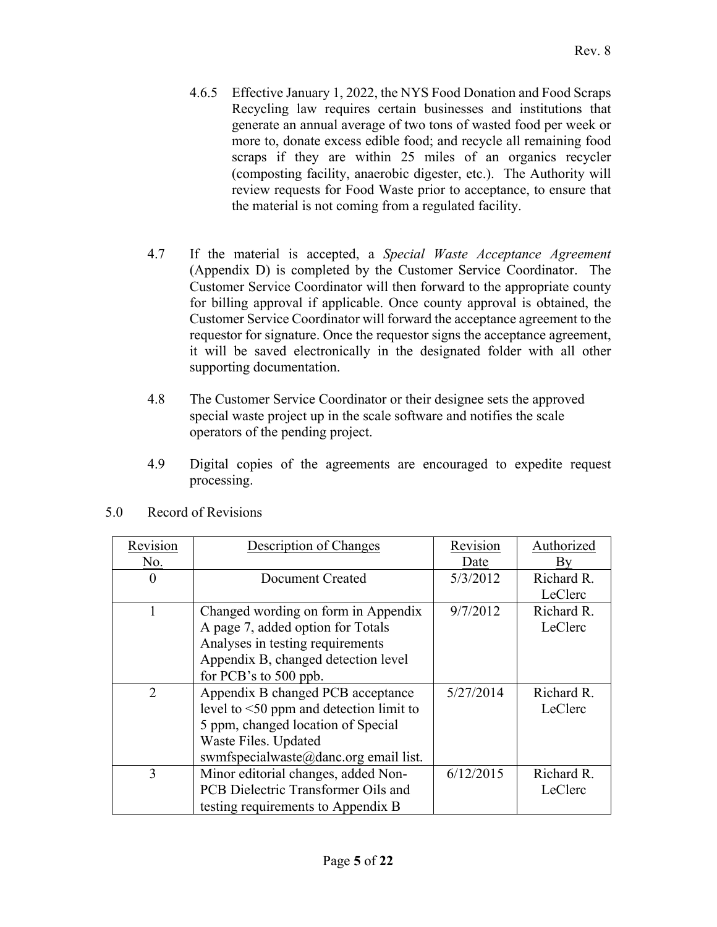- 4.6.5 Effective January 1, 2022, the NYS Food Donation and Food Scraps Recycling law requires certain businesses and institutions that generate an annual average of two tons of wasted food per week or more to, donate excess edible food; and recycle all remaining food scraps if they are within 25 miles of an organics recycler (composting facility, anaerobic digester, etc.). The Authority will review requests for Food Waste prior to acceptance, to ensure that the material is not coming from a regulated facility.
- 4.7 If the material is accepted, a *Special Waste Acceptance Agreement*  (Appendix D) is completed by the Customer Service Coordinator. The Customer Service Coordinator will then forward to the appropriate county for billing approval if applicable. Once county approval is obtained, the Customer Service Coordinator will forward the acceptance agreement to the requestor for signature. Once the requestor signs the acceptance agreement, it will be saved electronically in the designated folder with all other supporting documentation.
- 4.8 The Customer Service Coordinator or their designee sets the approved special waste project up in the scale software and notifies the scale operators of the pending project.
- 4.9 Digital copies of the agreements are encouraged to expedite request processing.

| Revision | Description of Changes                        | Revision  | Authorized |
|----------|-----------------------------------------------|-----------|------------|
| No.      |                                               | Date      | Вv         |
| $\theta$ | Document Created                              | 5/3/2012  | Richard R. |
|          |                                               |           | LeClerc    |
|          | Changed wording on form in Appendix           | 9/7/2012  | Richard R. |
|          | A page 7, added option for Totals             |           | LeClerc    |
|          | Analyses in testing requirements              |           |            |
|          | Appendix B, changed detection level           |           |            |
|          | for PCB's to 500 ppb.                         |           |            |
| 2        | Appendix B changed PCB acceptance             | 5/27/2014 | Richard R. |
|          | level to $\leq 50$ ppm and detection limit to |           | LeClerc    |
|          | 5 ppm, changed location of Special            |           |            |
|          | Waste Files. Updated                          |           |            |
|          | swmfspecialwaste@danc.org email list.         |           |            |
| 3        | Minor editorial changes, added Non-           | 6/12/2015 | Richard R. |
|          | PCB Dielectric Transformer Oils and           |           | LeClerc    |
|          | testing requirements to Appendix B            |           |            |

5.0 Record of Revisions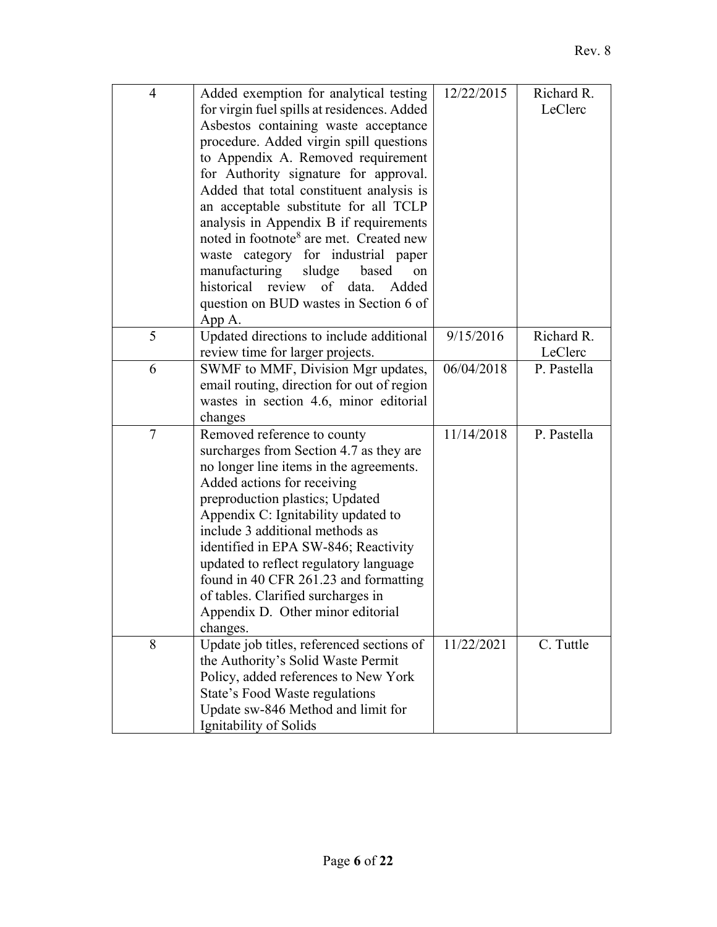| $\overline{4}$ | Added exemption for analytical testing<br>for virgin fuel spills at residences. Added<br>Asbestos containing waste acceptance<br>procedure. Added virgin spill questions<br>to Appendix A. Removed requirement<br>for Authority signature for approval.<br>Added that total constituent analysis is<br>an acceptable substitute for all TCLP<br>analysis in Appendix B if requirements<br>noted in footnote <sup>8</sup> are met. Created new<br>waste category for industrial paper<br>sludge<br>manufacturing<br>based<br>on<br>historical<br>review of data.<br>Added<br>question on BUD wastes in Section 6 of | 12/22/2015 | Richard R.<br>LeClerc |
|----------------|--------------------------------------------------------------------------------------------------------------------------------------------------------------------------------------------------------------------------------------------------------------------------------------------------------------------------------------------------------------------------------------------------------------------------------------------------------------------------------------------------------------------------------------------------------------------------------------------------------------------|------------|-----------------------|
| 5              | App A.<br>Updated directions to include additional                                                                                                                                                                                                                                                                                                                                                                                                                                                                                                                                                                 | 9/15/2016  | Richard R.            |
|                | review time for larger projects.                                                                                                                                                                                                                                                                                                                                                                                                                                                                                                                                                                                   |            | LeClerc               |
| 6              | SWMF to MMF, Division Mgr updates,<br>email routing, direction for out of region<br>wastes in section 4.6, minor editorial<br>changes                                                                                                                                                                                                                                                                                                                                                                                                                                                                              | 06/04/2018 | P. Pastella           |
| $\tau$         | Removed reference to county<br>surcharges from Section 4.7 as they are<br>no longer line items in the agreements.<br>Added actions for receiving<br>preproduction plastics; Updated<br>Appendix C: Ignitability updated to<br>include 3 additional methods as<br>identified in EPA SW-846; Reactivity<br>updated to reflect regulatory language<br>found in 40 CFR 261.23 and formatting<br>of tables. Clarified surcharges in<br>Appendix D. Other minor editorial<br>changes.                                                                                                                                    | 11/14/2018 | P. Pastella           |
| 8              | Update job titles, referenced sections of<br>the Authority's Solid Waste Permit<br>Policy, added references to New York<br>State's Food Waste regulations<br>Update sw-846 Method and limit for<br>Ignitability of Solids                                                                                                                                                                                                                                                                                                                                                                                          | 11/22/2021 | C. Tuttle             |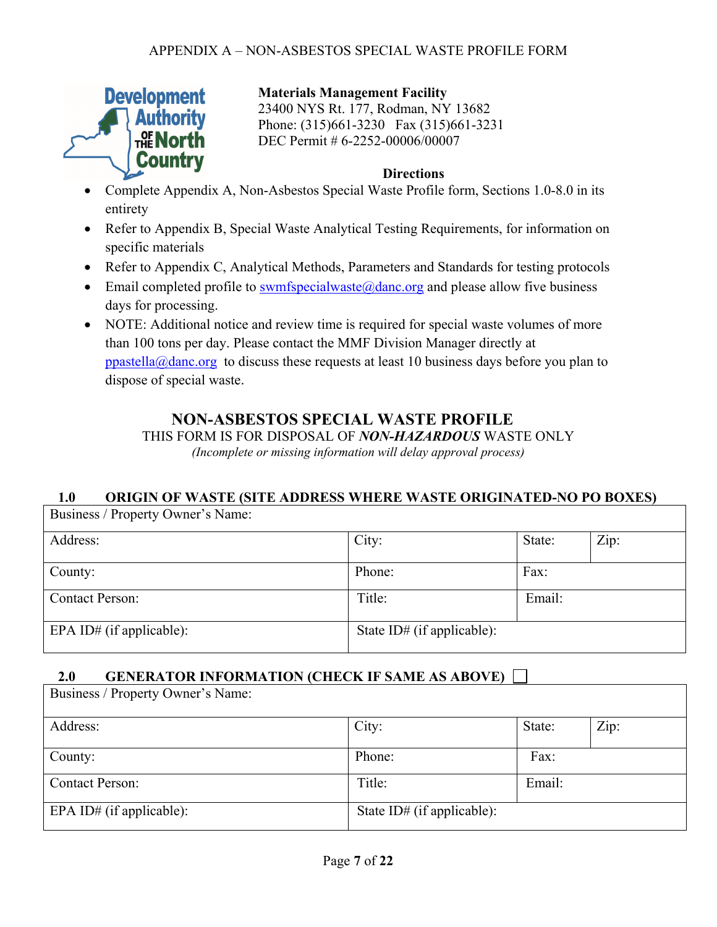

## **Materials Management Facility**

23400 NYS Rt. 177, Rodman, NY 13682 Phone: (315)661-3230 Fax (315)661-3231 DEC Permit # 6-2252-00006/00007

### **Directions**

- Complete Appendix A, Non-Asbestos Special Waste Profile form, Sections 1.0-8.0 in its entirety
- Refer to Appendix B, Special Waste Analytical Testing Requirements, for information on specific materials
- Refer to Appendix C, Analytical Methods, Parameters and Standards for testing protocols
- Email completed profile to swmfspecialwaste $\omega$ danc.org and please allow five business days for processing.
- NOTE: Additional notice and review time is required for special waste volumes of more than 100 tons per day. Please contact the MMF Division Manager directly at ppastella@danc.org to discuss these requests at least 10 business days before you plan to dispose of special waste.

# **NON-ASBESTOS SPECIAL WASTE PROFILE**

THIS FORM IS FOR DISPOSAL OF *NON-HAZARDOUS* WASTE ONLY *(Incomplete or missing information will delay approval process)* 

# **1.0 ORIGIN OF WASTE (SITE ADDRESS WHERE WASTE ORIGINATED-NO PO BOXES)**

| Business / Property Owner's Name: |                            |        |      |
|-----------------------------------|----------------------------|--------|------|
| Address:                          | City:                      | State: | Zip: |
| County:                           | Phone:                     | Fax:   |      |
| <b>Contact Person:</b>            | Title:                     | Email: |      |
| EPA ID# (if applicable):          | State ID# (if applicable): |        |      |

# **2.0 GENERATOR INFORMATION (CHECK IF SAME AS ABOVE)**

| Business / Property Owner's Name: |                            |        |      |
|-----------------------------------|----------------------------|--------|------|
| Address:                          | City:                      | State: | Zip: |
| County:                           | Phone:                     | Fax:   |      |
| <b>Contact Person:</b>            | Title:                     | Email: |      |
| EPA ID# (if applicable):          | State ID# (if applicable): |        |      |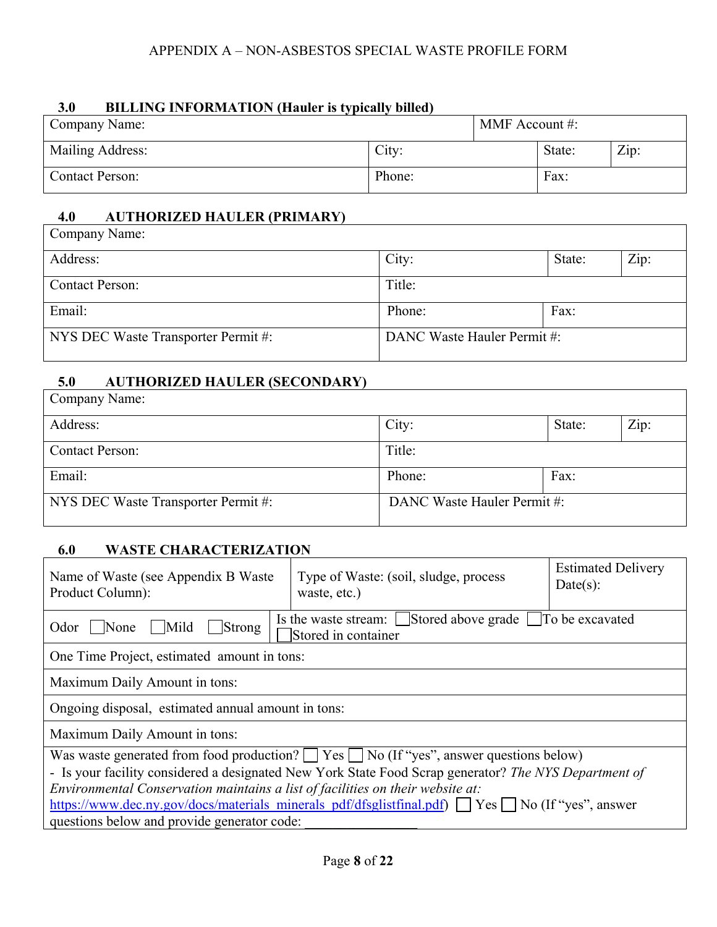### APPENDIX A – NON-ASBESTOS SPECIAL WASTE PROFILE FORM

### **3.0 BILLING INFORMATION (Hauler is typically billed)**

| Company Name:           |        | MMF Account #: |        |      |
|-------------------------|--------|----------------|--------|------|
| <b>Mailing Address:</b> | City:  |                | State: | Zip: |
| <b>Contact Person:</b>  | Phone: |                | Fax:   |      |

### **4.0 AUTHORIZED HAULER (PRIMARY)**

| Company Name:                       |                            |        |      |
|-------------------------------------|----------------------------|--------|------|
| Address:                            | City:                      | State: | Zip: |
| <b>Contact Person:</b>              | Title:                     |        |      |
| Email:                              | Phone:                     | Fax:   |      |
| NYS DEC Waste Transporter Permit #: | DANC Waste Hauler Permit#: |        |      |

# **5.0 AUTHORIZED HAULER (SECONDARY)**

| Company Name:                       |                            |        |      |
|-------------------------------------|----------------------------|--------|------|
| Address:                            | City:                      | State: | Zip: |
| <b>Contact Person:</b>              | Title:                     |        |      |
| Email:                              | Phone:                     | Fax:   |      |
| NYS DEC Waste Transporter Permit #: | DANC Waste Hauler Permit#: |        |      |

# **6.0 WASTE CHARACTERIZATION**

| Name of Waste (see Appendix B Waste)<br>Product Column):                                                                                                                                | Type of Waste: (soil, sludge, process<br>waste, etc.)                          | <b>Estimated Delivery</b><br>Date(s): |  |  |  |
|-----------------------------------------------------------------------------------------------------------------------------------------------------------------------------------------|--------------------------------------------------------------------------------|---------------------------------------|--|--|--|
| None<br>Mild<br>Strong<br>Odor                                                                                                                                                          | Is the waste stream: Stored above grade To be excavated<br>Stored in container |                                       |  |  |  |
| One Time Project, estimated amount in tons:                                                                                                                                             |                                                                                |                                       |  |  |  |
| Maximum Daily Amount in tons:                                                                                                                                                           |                                                                                |                                       |  |  |  |
| Ongoing disposal, estimated annual amount in tons:                                                                                                                                      |                                                                                |                                       |  |  |  |
| Maximum Daily Amount in tons:                                                                                                                                                           |                                                                                |                                       |  |  |  |
| Was waste generated from food production? $\Box$ Yes $\Box$ No (If "yes", answer questions below)                                                                                       |                                                                                |                                       |  |  |  |
| - Is your facility considered a designated New York State Food Scrap generator? The NYS Department of<br>Environmental Conservation maintains a list of facilities on their website at: |                                                                                |                                       |  |  |  |
| https://www.dec.ny.gov/docs/materials_minerals_pdf/dfsglistfinal.pdf) No (If "yes", answer                                                                                              |                                                                                |                                       |  |  |  |
| questions below and provide generator code:                                                                                                                                             |                                                                                |                                       |  |  |  |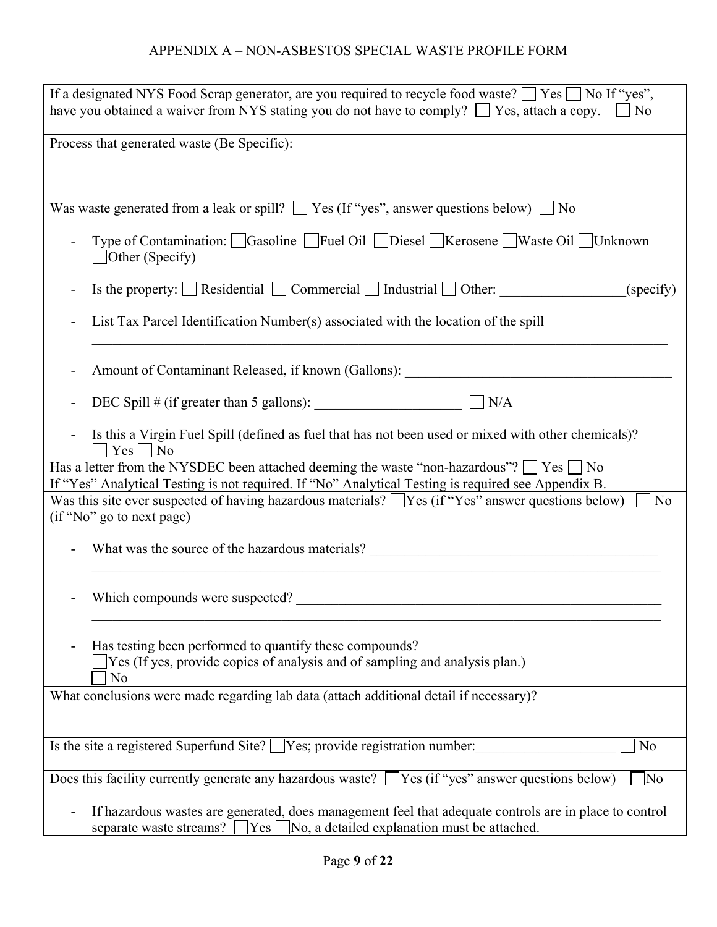# APPENDIX A – NON-ASBESTOS SPECIAL WASTE PROFILE FORM

| If a designated NYS Food Scrap generator, are you required to recycle food waste? $\Box$ Yes $\Box$ No If "yes",<br>have you obtained a waiver from NYS stating you do not have to comply? $\Box$ Yes, attach a copy. $\Box$ No |
|---------------------------------------------------------------------------------------------------------------------------------------------------------------------------------------------------------------------------------|
| Process that generated waste (Be Specific):                                                                                                                                                                                     |
| Was waste generated from a leak or spill? $\Box$ Yes (If "yes", answer questions below) $\Box$ No                                                                                                                               |
| Type of Contamination: □ Gasoline □ Fuel Oil □ Diesel □ Kerosene □ Waste Oil □ Unknown<br>$\Box$ Other (Specify)                                                                                                                |
| Is the property: $\Box$ Residential $\Box$ Commercial $\Box$ Industrial $\Box$ Other:<br>(specify)                                                                                                                              |
| List Tax Parcel Identification Number(s) associated with the location of the spill<br>$\overline{\phantom{a}}$                                                                                                                  |
| Amount of Contaminant Released, if known (Gallons):                                                                                                                                                                             |
| DEC Spill # (if greater than 5 gallons): $\Box$ N/A                                                                                                                                                                             |
| Is this a Virgin Fuel Spill (defined as fuel that has not been used or mixed with other chemicals)?<br>$\overline{\phantom{a}}$<br>Yes<br>$\overline{\rm ~No}$                                                                  |
| Has a letter from the NYSDEC been attached deeming the waste "non-hazardous"? $\Box$ Yes $\Box$ No<br>If "Yes" Analytical Testing is not required. If "No" Analytical Testing is required see Appendix B.                       |
| Was this site ever suspected of having hazardous materials? $\Box$ Yes (if "Yes" answer questions below)<br>No<br>(if "No" go to next page)                                                                                     |
| What was the source of the hazardous materials? _________________________________                                                                                                                                               |
| Which compounds were suspected?                                                                                                                                                                                                 |
| Has testing been performed to quantify these compounds?<br>[Yes (If yes, provide copies of analysis and of sampling and analysis plan.)<br>N <sub>o</sub>                                                                       |
| What conclusions were made regarding lab data (attach additional detail if necessary)?                                                                                                                                          |
| Is the site a registered Superfund Site? $\Box$ Yes; provide registration number:<br>N <sub>o</sub>                                                                                                                             |
| Does this facility currently generate any hazardous waste? $\Box$ Yes (if "yes" answer questions below)<br>$\sqrt{\text{No}}$                                                                                                   |
| If hazardous wastes are generated, does management feel that adequate controls are in place to control<br>separate waste streams? $\Box$ Yes $\Box$ No, a detailed explanation must be attached.                                |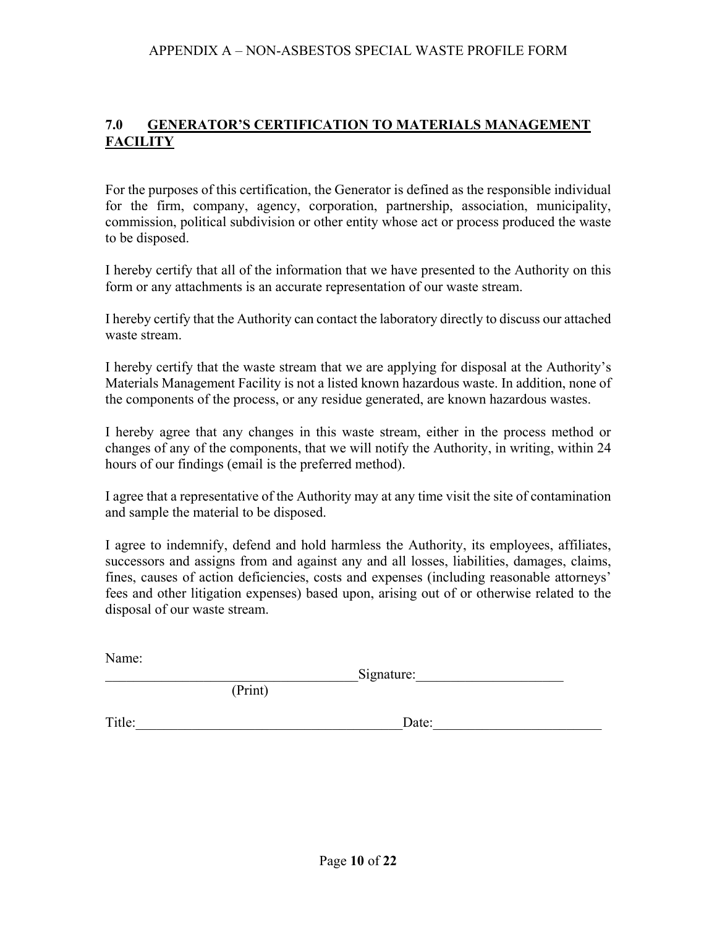# **7.0 GENERATOR'S CERTIFICATION TO MATERIALS MANAGEMENT FACILITY**

For the purposes of this certification, the Generator is defined as the responsible individual for the firm, company, agency, corporation, partnership, association, municipality, commission, political subdivision or other entity whose act or process produced the waste to be disposed.

I hereby certify that all of the information that we have presented to the Authority on this form or any attachments is an accurate representation of our waste stream.

I hereby certify that the Authority can contact the laboratory directly to discuss our attached waste stream.

I hereby certify that the waste stream that we are applying for disposal at the Authority's Materials Management Facility is not a listed known hazardous waste. In addition, none of the components of the process, or any residue generated, are known hazardous wastes.

I hereby agree that any changes in this waste stream, either in the process method or changes of any of the components, that we will notify the Authority, in writing, within 24 hours of our findings (email is the preferred method).

I agree that a representative of the Authority may at any time visit the site of contamination and sample the material to be disposed.

I agree to indemnify, defend and hold harmless the Authority, its employees, affiliates, successors and assigns from and against any and all losses, liabilities, damages, claims, fines, causes of action deficiencies, costs and expenses (including reasonable attorneys' fees and other litigation expenses) based upon, arising out of or otherwise related to the disposal of our waste stream.

Name:

Signature:

Title: Date:

(Print)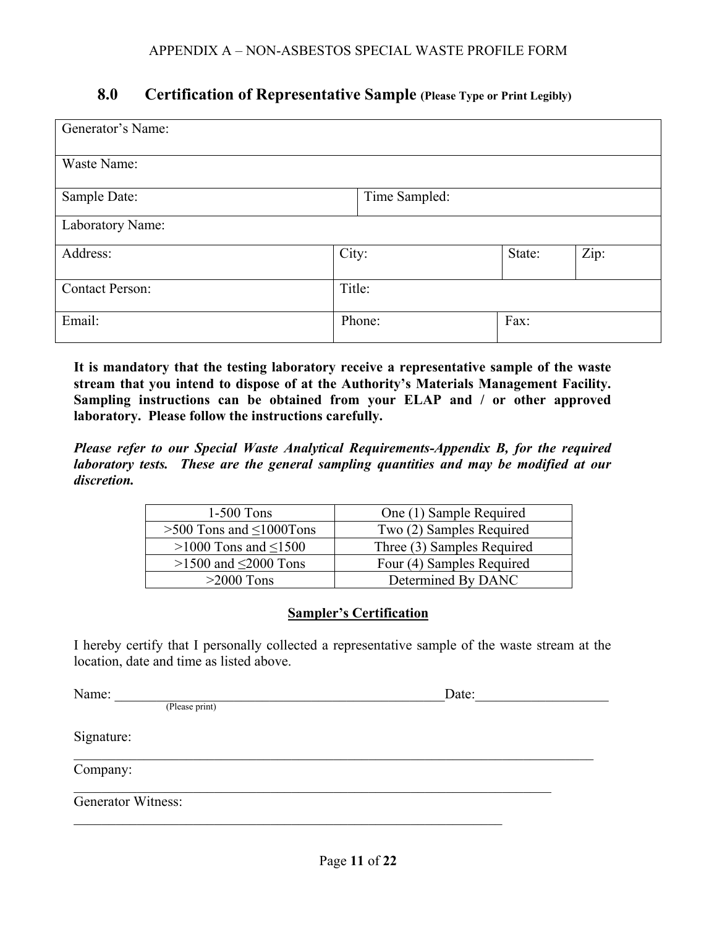# **8.0 Certification of Representative Sample (Please Type or Print Legibly)**

| Generator's Name:      |        |               |        |      |
|------------------------|--------|---------------|--------|------|
| Waste Name:            |        |               |        |      |
| Sample Date:           |        | Time Sampled: |        |      |
| Laboratory Name:       |        |               |        |      |
| Address:               | City:  |               | State: | Zip: |
| <b>Contact Person:</b> | Title: |               |        |      |
| Email:                 |        | Phone:        | Fax:   |      |

**It is mandatory that the testing laboratory receive a representative sample of the waste stream that you intend to dispose of at the Authority's Materials Management Facility. Sampling instructions can be obtained from your ELAP and / or other approved laboratory. Please follow the instructions carefully.** 

*Please refer to our Special Waste Analytical Requirements-Appendix B, for the required laboratory tests. These are the general sampling quantities and may be modified at our discretion.* 

| $1-500$ Tons                     | One (1) Sample Required    |
|----------------------------------|----------------------------|
| $>500$ Tons and $\leq 1000$ Tons | Two (2) Samples Required   |
| $>1000$ Tons and $\leq 1500$     | Three (3) Samples Required |
| $>1500$ and $\leq 2000$ Tons     | Four (4) Samples Required  |
| $>2000$ Tons                     | Determined By DANC         |

## **Sampler's Certification**

I hereby certify that I personally collected a representative sample of the waste stream at the location, date and time as listed above.

Name: \_\_\_\_\_\_\_\_\_\_\_\_\_\_\_\_\_\_\_\_\_\_\_\_\_\_\_\_\_\_\_\_\_\_\_\_\_\_\_\_\_\_\_\_\_\_\_Date:\_\_\_\_\_\_\_\_\_\_\_\_\_\_\_\_\_\_\_ (Please print) Signature: Company: Generator Witness: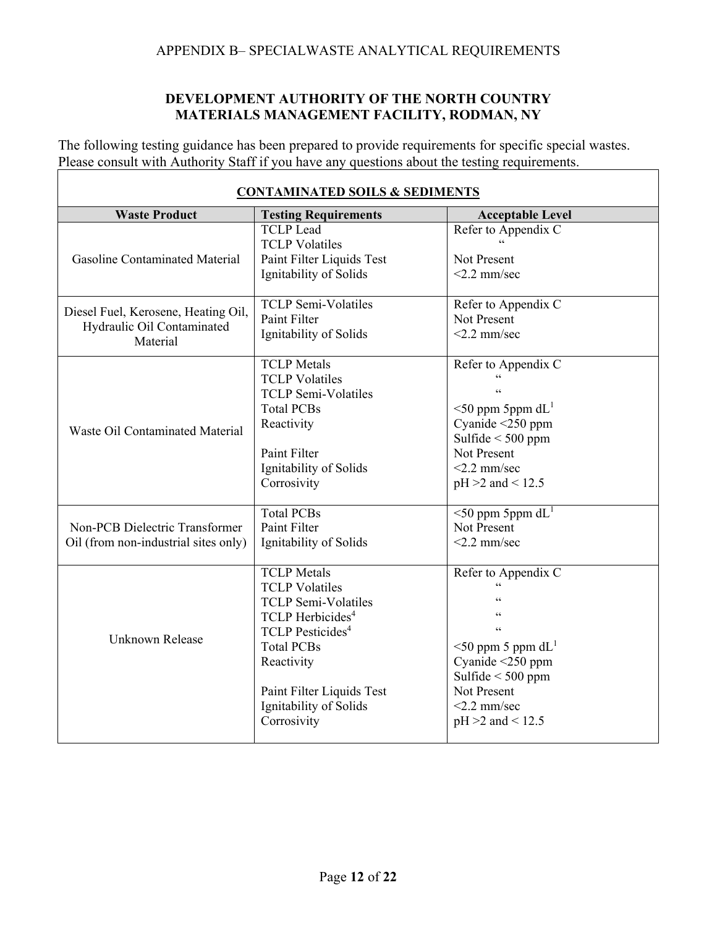## APPENDIX B– SPECIALWASTE ANALYTICAL REQUIREMENTS

## **DEVELOPMENT AUTHORITY OF THE NORTH COUNTRY MATERIALS MANAGEMENT FACILITY, RODMAN, NY**

The following testing guidance has been prepared to provide requirements for specific special wastes. Please consult with Authority Staff if you have any questions about the testing requirements.

| <b>CONTAMINATED SOILS &amp; SEDIMENTS</b>                                     |                                                                                                                                                                                                                                                           |                                                                                                                                                                             |  |  |  |
|-------------------------------------------------------------------------------|-----------------------------------------------------------------------------------------------------------------------------------------------------------------------------------------------------------------------------------------------------------|-----------------------------------------------------------------------------------------------------------------------------------------------------------------------------|--|--|--|
| <b>Waste Product</b>                                                          | <b>Testing Requirements</b>                                                                                                                                                                                                                               | <b>Acceptable Level</b>                                                                                                                                                     |  |  |  |
| <b>Gasoline Contaminated Material</b>                                         | <b>TCLP</b> Lead<br><b>TCLP Volatiles</b><br>Paint Filter Liquids Test<br>Ignitability of Solids                                                                                                                                                          | Refer to Appendix $\overline{C}$<br>Not Present<br>$<$ 2.2 mm/sec                                                                                                           |  |  |  |
| Diesel Fuel, Kerosene, Heating Oil,<br>Hydraulic Oil Contaminated<br>Material | <b>TCLP Semi-Volatiles</b><br>Paint Filter<br>Ignitability of Solids                                                                                                                                                                                      | Refer to Appendix C<br>Not Present<br>$<$ 2.2 mm/sec                                                                                                                        |  |  |  |
| Waste Oil Contaminated Material                                               | <b>TCLP</b> Metals<br><b>TCLP</b> Volatiles<br><b>TCLP Semi-Volatiles</b><br><b>Total PCBs</b><br>Reactivity<br>Paint Filter<br>Ignitability of Solids<br>Corrosivity                                                                                     | Refer to Appendix C<br>$<$ 50 ppm 5ppm dL <sup>1</sup><br>Cyanide $<$ 250 ppm<br>Sulfide $<$ 500 ppm<br>Not Present<br>$<$ 2.2 mm/sec<br>$pH > 2$ and < 12.5                |  |  |  |
| Non-PCB Dielectric Transformer<br>Oil (from non-industrial sites only)        | <b>Total PCBs</b><br>Paint Filter<br>Ignitability of Solids                                                                                                                                                                                               | $<$ 50 ppm 5ppm dL <sup>1</sup><br>Not Present<br>$<$ 2.2 mm/sec                                                                                                            |  |  |  |
| <b>Unknown Release</b>                                                        | <b>TCLP</b> Metals<br><b>TCLP</b> Volatiles<br><b>TCLP Semi-Volatiles</b><br>TCLP Herbicides <sup>4</sup><br><b>TCLP</b> Pesticides <sup>4</sup><br><b>Total PCBs</b><br>Reactivity<br>Paint Filter Liquids Test<br>Ignitability of Solids<br>Corrosivity | Refer to Appendix C<br>$\epsilon$<br>$\leq$ 50 ppm 5 ppm dL <sup>1</sup><br>Cyanide <250 ppm<br>Sulfide $<$ 500 ppm<br>Not Present<br>$<$ 2.2 mm/sec<br>$pH > 2$ and < 12.5 |  |  |  |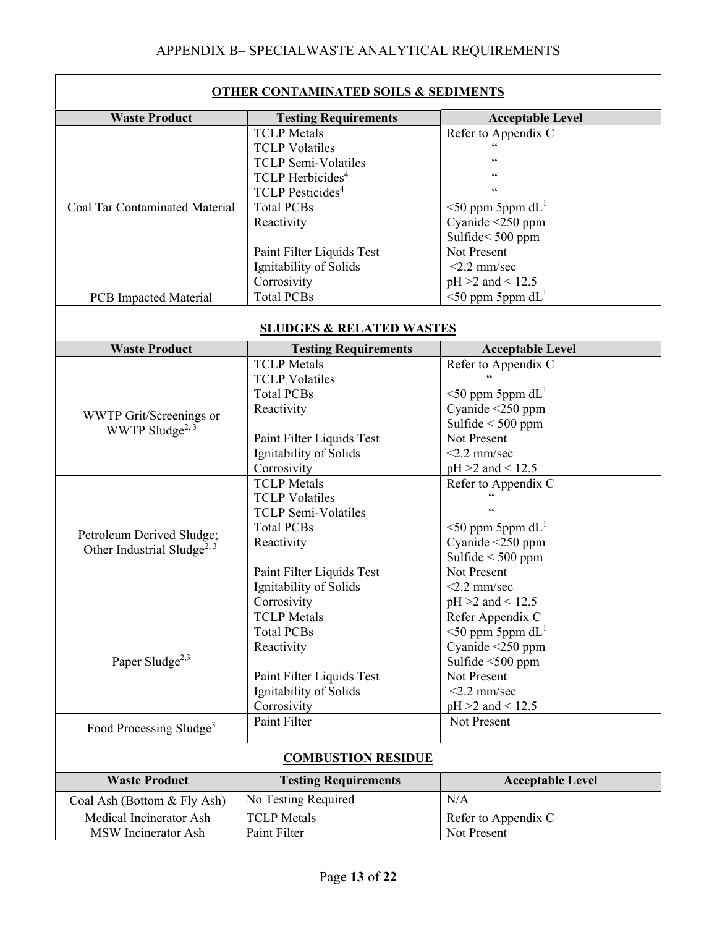| <b>Waste Product</b><br><b>Acceptable Level</b><br><b>Testing Requirements</b><br><b>TCLP</b> Metals<br>Refer to Appendix C<br>$\zeta$ $\zeta$<br><b>TCLP Volatiles</b><br><b>TCLP</b> Semi-Volatiles<br>66<br>TCLP Herbicides <sup>4</sup><br>66<br><b>TCLP</b> Pesticides <sup>4</sup><br>$\leq$ 50 ppm 5ppm dL <sup>1</sup><br><b>Coal Tar Contaminated Material</b><br><b>Total PCBs</b><br>Cyanide $\leq$ 250 ppm<br>Reactivity<br>Sulfide<500 ppm<br>Not Present<br>Paint Filter Liquids Test<br>Ignitability of Solids<br>$<$ 2.2 mm/sec<br>Corrosivity<br>$pH > 2$ and < 12.5<br>$<$ 50 ppm 5ppm dL <sup>1</sup><br><b>Total PCBs</b><br><b>PCB</b> Impacted Material<br><b>SLUDGES &amp; RELATED WASTES</b><br><b>Waste Product</b><br><b>Testing Requirements</b><br><b>Acceptable Level</b><br><b>TCLP</b> Metals<br>Refer to Appendix C<br><b>TCLP Volatiles</b><br>$\leq$ 50 ppm 5ppm dL <sup>1</sup><br><b>Total PCBs</b><br>Cyanide <250 ppm<br>Reactivity<br>WWTP Grit/Screenings or<br>Sulfide $<$ 500 ppm<br>WWTP Sludge <sup>2, 3</sup><br>Paint Filter Liquids Test<br>Not Present<br>Ignitability of Solids<br>$<$ 2.2 mm/sec<br>Corrosivity<br>$pH > 2$ and < 12.5<br><b>TCLP</b> Metals<br>Refer to Appendix C<br><b>TCLP</b> Volatiles<br><b>TCLP Semi-Volatiles</b><br>$\leq$ 50 ppm 5ppm dL <sup>1</sup><br><b>Total PCBs</b><br>Petroleum Derived Sludge;<br>Cyanide <250 ppm<br>Reactivity<br>Other Industrial Sludge <sup>2, 3</sup><br>Sulfide $<$ 500 ppm<br>Not Present<br>Paint Filter Liquids Test<br>Ignitability of Solids<br>$<$ 2.2 mm/sec<br>Corrosivity<br>$pH > 2$ and < 12.5<br>Refer Appendix C<br><b>TCLP</b> Metals<br>$\leq$ 50 ppm 5ppm dL <sup>1</sup><br><b>Total PCBs</b><br>Cyanide <250 ppm<br>Reactivity<br>Paper Sludge <sup>2,3</sup><br>Sulfide <500 ppm<br>Not Present | <b>OTHER CONTAMINATED SOILS &amp; SEDIMENTS</b> |                           |  |  |
|---------------------------------------------------------------------------------------------------------------------------------------------------------------------------------------------------------------------------------------------------------------------------------------------------------------------------------------------------------------------------------------------------------------------------------------------------------------------------------------------------------------------------------------------------------------------------------------------------------------------------------------------------------------------------------------------------------------------------------------------------------------------------------------------------------------------------------------------------------------------------------------------------------------------------------------------------------------------------------------------------------------------------------------------------------------------------------------------------------------------------------------------------------------------------------------------------------------------------------------------------------------------------------------------------------------------------------------------------------------------------------------------------------------------------------------------------------------------------------------------------------------------------------------------------------------------------------------------------------------------------------------------------------------------------------------------------------------------------------------------------------------------------------------------------------------------------------|-------------------------------------------------|---------------------------|--|--|
|                                                                                                                                                                                                                                                                                                                                                                                                                                                                                                                                                                                                                                                                                                                                                                                                                                                                                                                                                                                                                                                                                                                                                                                                                                                                                                                                                                                                                                                                                                                                                                                                                                                                                                                                                                                                                                 |                                                 |                           |  |  |
|                                                                                                                                                                                                                                                                                                                                                                                                                                                                                                                                                                                                                                                                                                                                                                                                                                                                                                                                                                                                                                                                                                                                                                                                                                                                                                                                                                                                                                                                                                                                                                                                                                                                                                                                                                                                                                 |                                                 |                           |  |  |
|                                                                                                                                                                                                                                                                                                                                                                                                                                                                                                                                                                                                                                                                                                                                                                                                                                                                                                                                                                                                                                                                                                                                                                                                                                                                                                                                                                                                                                                                                                                                                                                                                                                                                                                                                                                                                                 |                                                 |                           |  |  |
|                                                                                                                                                                                                                                                                                                                                                                                                                                                                                                                                                                                                                                                                                                                                                                                                                                                                                                                                                                                                                                                                                                                                                                                                                                                                                                                                                                                                                                                                                                                                                                                                                                                                                                                                                                                                                                 |                                                 |                           |  |  |
|                                                                                                                                                                                                                                                                                                                                                                                                                                                                                                                                                                                                                                                                                                                                                                                                                                                                                                                                                                                                                                                                                                                                                                                                                                                                                                                                                                                                                                                                                                                                                                                                                                                                                                                                                                                                                                 |                                                 |                           |  |  |
|                                                                                                                                                                                                                                                                                                                                                                                                                                                                                                                                                                                                                                                                                                                                                                                                                                                                                                                                                                                                                                                                                                                                                                                                                                                                                                                                                                                                                                                                                                                                                                                                                                                                                                                                                                                                                                 |                                                 |                           |  |  |
|                                                                                                                                                                                                                                                                                                                                                                                                                                                                                                                                                                                                                                                                                                                                                                                                                                                                                                                                                                                                                                                                                                                                                                                                                                                                                                                                                                                                                                                                                                                                                                                                                                                                                                                                                                                                                                 |                                                 |                           |  |  |
|                                                                                                                                                                                                                                                                                                                                                                                                                                                                                                                                                                                                                                                                                                                                                                                                                                                                                                                                                                                                                                                                                                                                                                                                                                                                                                                                                                                                                                                                                                                                                                                                                                                                                                                                                                                                                                 |                                                 |                           |  |  |
|                                                                                                                                                                                                                                                                                                                                                                                                                                                                                                                                                                                                                                                                                                                                                                                                                                                                                                                                                                                                                                                                                                                                                                                                                                                                                                                                                                                                                                                                                                                                                                                                                                                                                                                                                                                                                                 |                                                 |                           |  |  |
|                                                                                                                                                                                                                                                                                                                                                                                                                                                                                                                                                                                                                                                                                                                                                                                                                                                                                                                                                                                                                                                                                                                                                                                                                                                                                                                                                                                                                                                                                                                                                                                                                                                                                                                                                                                                                                 |                                                 |                           |  |  |
|                                                                                                                                                                                                                                                                                                                                                                                                                                                                                                                                                                                                                                                                                                                                                                                                                                                                                                                                                                                                                                                                                                                                                                                                                                                                                                                                                                                                                                                                                                                                                                                                                                                                                                                                                                                                                                 |                                                 |                           |  |  |
|                                                                                                                                                                                                                                                                                                                                                                                                                                                                                                                                                                                                                                                                                                                                                                                                                                                                                                                                                                                                                                                                                                                                                                                                                                                                                                                                                                                                                                                                                                                                                                                                                                                                                                                                                                                                                                 |                                                 |                           |  |  |
|                                                                                                                                                                                                                                                                                                                                                                                                                                                                                                                                                                                                                                                                                                                                                                                                                                                                                                                                                                                                                                                                                                                                                                                                                                                                                                                                                                                                                                                                                                                                                                                                                                                                                                                                                                                                                                 |                                                 |                           |  |  |
|                                                                                                                                                                                                                                                                                                                                                                                                                                                                                                                                                                                                                                                                                                                                                                                                                                                                                                                                                                                                                                                                                                                                                                                                                                                                                                                                                                                                                                                                                                                                                                                                                                                                                                                                                                                                                                 |                                                 |                           |  |  |
|                                                                                                                                                                                                                                                                                                                                                                                                                                                                                                                                                                                                                                                                                                                                                                                                                                                                                                                                                                                                                                                                                                                                                                                                                                                                                                                                                                                                                                                                                                                                                                                                                                                                                                                                                                                                                                 |                                                 |                           |  |  |
|                                                                                                                                                                                                                                                                                                                                                                                                                                                                                                                                                                                                                                                                                                                                                                                                                                                                                                                                                                                                                                                                                                                                                                                                                                                                                                                                                                                                                                                                                                                                                                                                                                                                                                                                                                                                                                 |                                                 |                           |  |  |
|                                                                                                                                                                                                                                                                                                                                                                                                                                                                                                                                                                                                                                                                                                                                                                                                                                                                                                                                                                                                                                                                                                                                                                                                                                                                                                                                                                                                                                                                                                                                                                                                                                                                                                                                                                                                                                 |                                                 |                           |  |  |
|                                                                                                                                                                                                                                                                                                                                                                                                                                                                                                                                                                                                                                                                                                                                                                                                                                                                                                                                                                                                                                                                                                                                                                                                                                                                                                                                                                                                                                                                                                                                                                                                                                                                                                                                                                                                                                 |                                                 |                           |  |  |
|                                                                                                                                                                                                                                                                                                                                                                                                                                                                                                                                                                                                                                                                                                                                                                                                                                                                                                                                                                                                                                                                                                                                                                                                                                                                                                                                                                                                                                                                                                                                                                                                                                                                                                                                                                                                                                 |                                                 |                           |  |  |
|                                                                                                                                                                                                                                                                                                                                                                                                                                                                                                                                                                                                                                                                                                                                                                                                                                                                                                                                                                                                                                                                                                                                                                                                                                                                                                                                                                                                                                                                                                                                                                                                                                                                                                                                                                                                                                 |                                                 |                           |  |  |
|                                                                                                                                                                                                                                                                                                                                                                                                                                                                                                                                                                                                                                                                                                                                                                                                                                                                                                                                                                                                                                                                                                                                                                                                                                                                                                                                                                                                                                                                                                                                                                                                                                                                                                                                                                                                                                 |                                                 |                           |  |  |
|                                                                                                                                                                                                                                                                                                                                                                                                                                                                                                                                                                                                                                                                                                                                                                                                                                                                                                                                                                                                                                                                                                                                                                                                                                                                                                                                                                                                                                                                                                                                                                                                                                                                                                                                                                                                                                 |                                                 |                           |  |  |
|                                                                                                                                                                                                                                                                                                                                                                                                                                                                                                                                                                                                                                                                                                                                                                                                                                                                                                                                                                                                                                                                                                                                                                                                                                                                                                                                                                                                                                                                                                                                                                                                                                                                                                                                                                                                                                 |                                                 |                           |  |  |
|                                                                                                                                                                                                                                                                                                                                                                                                                                                                                                                                                                                                                                                                                                                                                                                                                                                                                                                                                                                                                                                                                                                                                                                                                                                                                                                                                                                                                                                                                                                                                                                                                                                                                                                                                                                                                                 |                                                 |                           |  |  |
|                                                                                                                                                                                                                                                                                                                                                                                                                                                                                                                                                                                                                                                                                                                                                                                                                                                                                                                                                                                                                                                                                                                                                                                                                                                                                                                                                                                                                                                                                                                                                                                                                                                                                                                                                                                                                                 |                                                 |                           |  |  |
|                                                                                                                                                                                                                                                                                                                                                                                                                                                                                                                                                                                                                                                                                                                                                                                                                                                                                                                                                                                                                                                                                                                                                                                                                                                                                                                                                                                                                                                                                                                                                                                                                                                                                                                                                                                                                                 |                                                 |                           |  |  |
|                                                                                                                                                                                                                                                                                                                                                                                                                                                                                                                                                                                                                                                                                                                                                                                                                                                                                                                                                                                                                                                                                                                                                                                                                                                                                                                                                                                                                                                                                                                                                                                                                                                                                                                                                                                                                                 |                                                 |                           |  |  |
|                                                                                                                                                                                                                                                                                                                                                                                                                                                                                                                                                                                                                                                                                                                                                                                                                                                                                                                                                                                                                                                                                                                                                                                                                                                                                                                                                                                                                                                                                                                                                                                                                                                                                                                                                                                                                                 |                                                 |                           |  |  |
|                                                                                                                                                                                                                                                                                                                                                                                                                                                                                                                                                                                                                                                                                                                                                                                                                                                                                                                                                                                                                                                                                                                                                                                                                                                                                                                                                                                                                                                                                                                                                                                                                                                                                                                                                                                                                                 |                                                 |                           |  |  |
|                                                                                                                                                                                                                                                                                                                                                                                                                                                                                                                                                                                                                                                                                                                                                                                                                                                                                                                                                                                                                                                                                                                                                                                                                                                                                                                                                                                                                                                                                                                                                                                                                                                                                                                                                                                                                                 |                                                 |                           |  |  |
|                                                                                                                                                                                                                                                                                                                                                                                                                                                                                                                                                                                                                                                                                                                                                                                                                                                                                                                                                                                                                                                                                                                                                                                                                                                                                                                                                                                                                                                                                                                                                                                                                                                                                                                                                                                                                                 |                                                 |                           |  |  |
|                                                                                                                                                                                                                                                                                                                                                                                                                                                                                                                                                                                                                                                                                                                                                                                                                                                                                                                                                                                                                                                                                                                                                                                                                                                                                                                                                                                                                                                                                                                                                                                                                                                                                                                                                                                                                                 |                                                 |                           |  |  |
|                                                                                                                                                                                                                                                                                                                                                                                                                                                                                                                                                                                                                                                                                                                                                                                                                                                                                                                                                                                                                                                                                                                                                                                                                                                                                                                                                                                                                                                                                                                                                                                                                                                                                                                                                                                                                                 |                                                 |                           |  |  |
|                                                                                                                                                                                                                                                                                                                                                                                                                                                                                                                                                                                                                                                                                                                                                                                                                                                                                                                                                                                                                                                                                                                                                                                                                                                                                                                                                                                                                                                                                                                                                                                                                                                                                                                                                                                                                                 |                                                 |                           |  |  |
|                                                                                                                                                                                                                                                                                                                                                                                                                                                                                                                                                                                                                                                                                                                                                                                                                                                                                                                                                                                                                                                                                                                                                                                                                                                                                                                                                                                                                                                                                                                                                                                                                                                                                                                                                                                                                                 |                                                 |                           |  |  |
|                                                                                                                                                                                                                                                                                                                                                                                                                                                                                                                                                                                                                                                                                                                                                                                                                                                                                                                                                                                                                                                                                                                                                                                                                                                                                                                                                                                                                                                                                                                                                                                                                                                                                                                                                                                                                                 |                                                 |                           |  |  |
|                                                                                                                                                                                                                                                                                                                                                                                                                                                                                                                                                                                                                                                                                                                                                                                                                                                                                                                                                                                                                                                                                                                                                                                                                                                                                                                                                                                                                                                                                                                                                                                                                                                                                                                                                                                                                                 |                                                 |                           |  |  |
|                                                                                                                                                                                                                                                                                                                                                                                                                                                                                                                                                                                                                                                                                                                                                                                                                                                                                                                                                                                                                                                                                                                                                                                                                                                                                                                                                                                                                                                                                                                                                                                                                                                                                                                                                                                                                                 |                                                 | Paint Filter Liquids Test |  |  |
| Ignitability of Solids<br>$<$ 2.2 mm/sec                                                                                                                                                                                                                                                                                                                                                                                                                                                                                                                                                                                                                                                                                                                                                                                                                                                                                                                                                                                                                                                                                                                                                                                                                                                                                                                                                                                                                                                                                                                                                                                                                                                                                                                                                                                        |                                                 |                           |  |  |
| Corrosivity<br>$pH > 2$ and < 12.5                                                                                                                                                                                                                                                                                                                                                                                                                                                                                                                                                                                                                                                                                                                                                                                                                                                                                                                                                                                                                                                                                                                                                                                                                                                                                                                                                                                                                                                                                                                                                                                                                                                                                                                                                                                              |                                                 |                           |  |  |
| <b>Paint Filter</b><br>Not Present<br>Food Processing Sludge <sup>3</sup>                                                                                                                                                                                                                                                                                                                                                                                                                                                                                                                                                                                                                                                                                                                                                                                                                                                                                                                                                                                                                                                                                                                                                                                                                                                                                                                                                                                                                                                                                                                                                                                                                                                                                                                                                       |                                                 |                           |  |  |
| <b>COMBUSTION RESIDUE</b>                                                                                                                                                                                                                                                                                                                                                                                                                                                                                                                                                                                                                                                                                                                                                                                                                                                                                                                                                                                                                                                                                                                                                                                                                                                                                                                                                                                                                                                                                                                                                                                                                                                                                                                                                                                                       |                                                 |                           |  |  |
| <b>Waste Product</b><br><b>Testing Requirements</b><br><b>Acceptable Level</b>                                                                                                                                                                                                                                                                                                                                                                                                                                                                                                                                                                                                                                                                                                                                                                                                                                                                                                                                                                                                                                                                                                                                                                                                                                                                                                                                                                                                                                                                                                                                                                                                                                                                                                                                                  |                                                 |                           |  |  |
| N/A<br>No Testing Required<br>Coal Ash (Bottom & Fly Ash)                                                                                                                                                                                                                                                                                                                                                                                                                                                                                                                                                                                                                                                                                                                                                                                                                                                                                                                                                                                                                                                                                                                                                                                                                                                                                                                                                                                                                                                                                                                                                                                                                                                                                                                                                                       |                                                 |                           |  |  |
| Medical Incinerator Ash<br><b>TCLP</b> Metals<br>Refer to Appendix C                                                                                                                                                                                                                                                                                                                                                                                                                                                                                                                                                                                                                                                                                                                                                                                                                                                                                                                                                                                                                                                                                                                                                                                                                                                                                                                                                                                                                                                                                                                                                                                                                                                                                                                                                            |                                                 |                           |  |  |
| MSW Incinerator Ash<br>Paint Filter<br>Not Present                                                                                                                                                                                                                                                                                                                                                                                                                                                                                                                                                                                                                                                                                                                                                                                                                                                                                                                                                                                                                                                                                                                                                                                                                                                                                                                                                                                                                                                                                                                                                                                                                                                                                                                                                                              |                                                 |                           |  |  |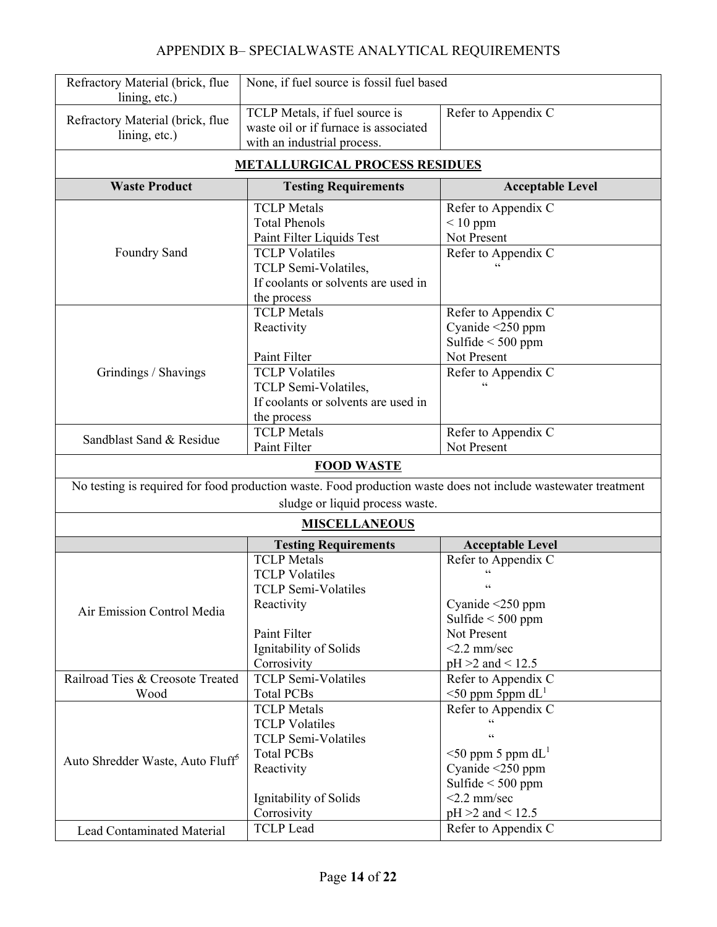# APPENDIX B– SPECIALWASTE ANALYTICAL REQUIREMENTS

| Refractory Material (brick, flue<br>lining, etc.)                                                             | None, if fuel source is fossil fuel based                                                                                              |                                                                                                                         |  |
|---------------------------------------------------------------------------------------------------------------|----------------------------------------------------------------------------------------------------------------------------------------|-------------------------------------------------------------------------------------------------------------------------|--|
| Refractory Material (brick, flue<br>lining, etc.)                                                             | TCLP Metals, if fuel source is<br>waste oil or if furnace is associated<br>with an industrial process.                                 | Refer to Appendix C                                                                                                     |  |
|                                                                                                               | <b>METALLURGICAL PROCESS RESIDUES</b>                                                                                                  |                                                                                                                         |  |
| <b>Waste Product</b>                                                                                          | <b>Testing Requirements</b>                                                                                                            | <b>Acceptable Level</b>                                                                                                 |  |
| Foundry Sand                                                                                                  | <b>TCLP</b> Metals<br><b>Total Phenols</b><br>Paint Filter Liquids Test<br><b>TCLP</b> Volatiles<br>TCLP Semi-Volatiles,               | Refer to Appendix C<br>$< 10$ ppm<br>Not Present<br>Refer to Appendix C                                                 |  |
|                                                                                                               | If coolants or solvents are used in<br>the process                                                                                     |                                                                                                                         |  |
|                                                                                                               | <b>TCLP</b> Metals<br>Reactivity<br>Paint Filter                                                                                       | Refer to Appendix C<br>Cyanide <250 ppm<br>Sulfide $<$ 500 ppm<br>Not Present                                           |  |
| Grindings / Shavings                                                                                          | <b>TCLP</b> Volatiles<br>TCLP Semi-Volatiles,<br>If coolants or solvents are used in<br>the process                                    | Refer to Appendix C                                                                                                     |  |
| Sandblast Sand & Residue                                                                                      | <b>TCLP</b> Metals<br>Paint Filter                                                                                                     | Refer to Appendix C<br>Not Present                                                                                      |  |
| <b>FOOD WASTE</b>                                                                                             |                                                                                                                                        |                                                                                                                         |  |
| No testing is required for food production waste. Food production waste does not include wastewater treatment |                                                                                                                                        |                                                                                                                         |  |
| sludge or liquid process waste.                                                                               |                                                                                                                                        |                                                                                                                         |  |
|                                                                                                               | <b>MISCELLANEOUS</b>                                                                                                                   |                                                                                                                         |  |
|                                                                                                               | <b>Testing Requirements</b>                                                                                                            | <b>Acceptable Level</b>                                                                                                 |  |
| Air Emission Control Media                                                                                    | <b>TCLP</b> Metals<br><b>TCLP</b> Volatiles<br><b>TCLP Semi-Volatiles</b><br>Reactivity                                                | Refer to Appendix C<br>$\zeta$ $\zeta$<br>$\mbox{G}\,\mbox{G}$<br>Cyanide $\leq$ 250 ppm                                |  |
|                                                                                                               | Paint Filter<br>Ignitability of Solids<br>Corrosivity                                                                                  | Sulfide $<$ 500 ppm<br>Not Present<br>$<$ 2.2 mm/sec<br>$pH > 2$ and < 12.5                                             |  |
| Railroad Ties & Creosote Treated<br>Wood                                                                      | <b>TCLP Semi-Volatiles</b><br><b>Total PCBs</b>                                                                                        | Refer to Appendix C<br>$\leq$ 50 ppm 5ppm dL <sup>1</sup>                                                               |  |
| Auto Shredder Waste, Auto Fluff <sup>5</sup>                                                                  | <b>TCLP</b> Metals<br><b>TCLP Volatiles</b><br><b>TCLP Semi-Volatiles</b><br><b>Total PCBs</b><br>Reactivity<br>Ignitability of Solids | Refer to Appendix C<br>$\leq$ 50 ppm 5 ppm dL <sup>1</sup><br>Cyanide <250 ppm<br>Sulfide $<$ 500 ppm<br>$<$ 2.2 mm/sec |  |
|                                                                                                               | Corrosivity                                                                                                                            | $pH > 2$ and < 12.5                                                                                                     |  |
| Lead Contaminated Material                                                                                    | <b>TCLP</b> Lead                                                                                                                       | Refer to Appendix C                                                                                                     |  |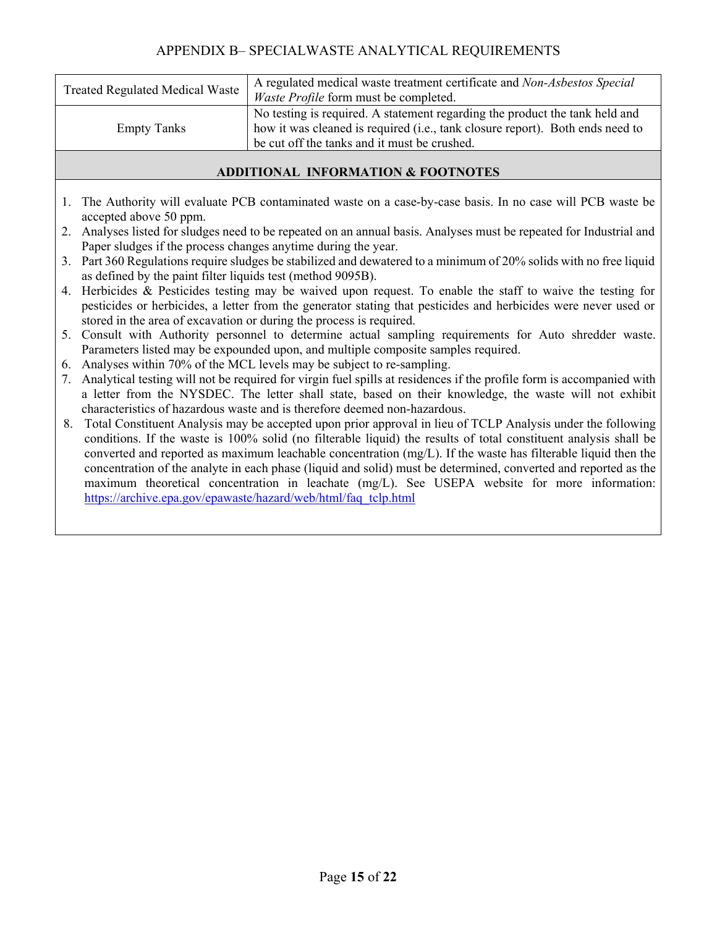## APPENDIX B– SPECIALWASTE ANALYTICAL REQUIREMENTS

| <b>Treated Regulated Medical Waste</b> | A regulated medical waste treatment certificate and Non-Asbestos Special<br><i>Waste Profile</i> form must be completed. |  |
|----------------------------------------|--------------------------------------------------------------------------------------------------------------------------|--|
|                                        |                                                                                                                          |  |
|                                        | No testing is required. A statement regarding the product the tank held and                                              |  |
| <b>Empty Tanks</b>                     | how it was cleaned is required (i.e., tank closure report). Both ends need to                                            |  |
|                                        | be cut off the tanks and it must be crushed.                                                                             |  |

#### **ADDITIONAL INFORMATION & FOOTNOTES**

- 1. The Authority will evaluate PCB contaminated waste on a case-by-case basis. In no case will PCB waste be accepted above 50 ppm.
- 2. Analyses listed for sludges need to be repeated on an annual basis. Analyses must be repeated for Industrial and Paper sludges if the process changes anytime during the year.
- 3. Part 360 Regulations require sludges be stabilized and dewatered to a minimum of 20% solids with no free liquid as defined by the paint filter liquids test (method 9095B).
- 4. Herbicides & Pesticides testing may be waived upon request. To enable the staff to waive the testing for pesticides or herbicides, a letter from the generator stating that pesticides and herbicides were never used or stored in the area of excavation or during the process is required.
- 5. Consult with Authority personnel to determine actual sampling requirements for Auto shredder waste. Parameters listed may be expounded upon, and multiple composite samples required.
- 6. Analyses within 70% of the MCL levels may be subject to re-sampling.
- 7. Analytical testing will not be required for virgin fuel spills at residences if the profile form is accompanied with a letter from the NYSDEC. The letter shall state, based on their knowledge, the waste will not exhibit characteristics of hazardous waste and is therefore deemed non-hazardous.
- 8. Total Constituent Analysis may be accepted upon prior approval in lieu of TCLP Analysis under the following conditions. If the waste is 100% solid (no filterable liquid) the results of total constituent analysis shall be converted and reported as maximum leachable concentration (mg/L). If the waste has filterable liquid then the concentration of the analyte in each phase (liquid and solid) must be determined, converted and reported as the maximum theoretical concentration in leachate (mg/L). See USEPA website for more information: https://archive.epa.gov/epawaste/hazard/web/html/faq\_tclp.html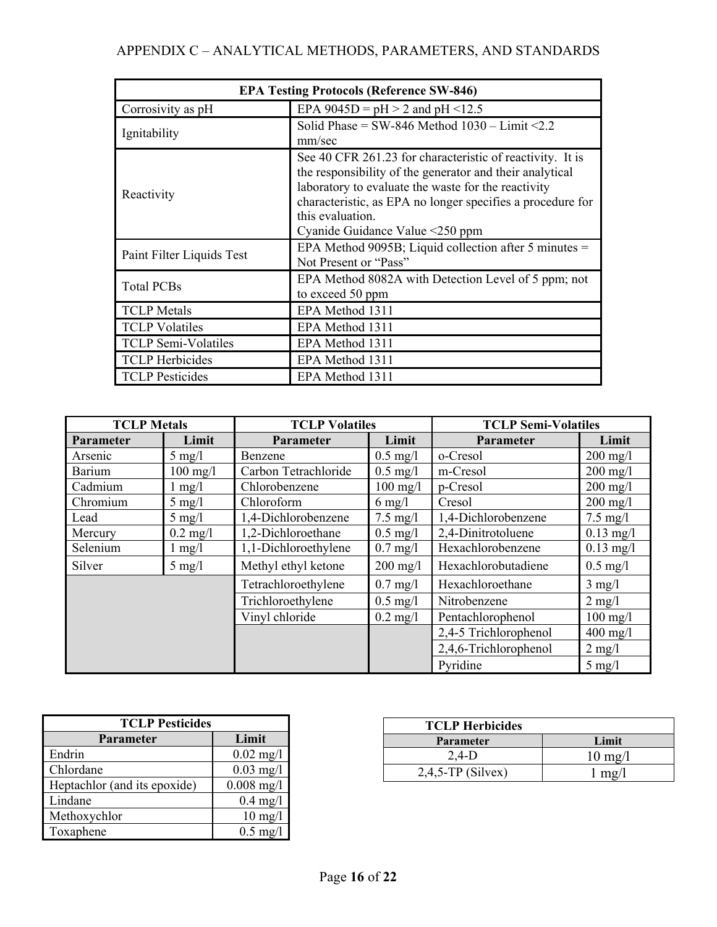| <b>EPA Testing Protocols (Reference SW-846)</b> |                                                                                                                                                                                                                                                                                                   |  |  |
|-------------------------------------------------|---------------------------------------------------------------------------------------------------------------------------------------------------------------------------------------------------------------------------------------------------------------------------------------------------|--|--|
| Corrosivity as pH                               | EPA $9045D = pH > 2$ and pH <12.5                                                                                                                                                                                                                                                                 |  |  |
| Ignitability                                    | Solid Phase = SW-846 Method $1030 - Limit < 2.2$<br>mm/sec                                                                                                                                                                                                                                        |  |  |
| Reactivity                                      | See 40 CFR 261.23 for characteristic of reactivity. It is<br>the responsibility of the generator and their analytical<br>laboratory to evaluate the waste for the reactivity<br>characteristic, as EPA no longer specifies a procedure for<br>this evaluation.<br>Cyanide Guidance Value <250 ppm |  |  |
| Paint Filter Liquids Test                       | EPA Method 9095B; Liquid collection after 5 minutes $=$<br>Not Present or "Pass"                                                                                                                                                                                                                  |  |  |
| <b>Total PCBs</b>                               | EPA Method 8082A with Detection Level of 5 ppm; not<br>to exceed 50 ppm                                                                                                                                                                                                                           |  |  |
| <b>TCLP</b> Metals                              | EPA Method 1311                                                                                                                                                                                                                                                                                   |  |  |
| <b>TCLP</b> Volatiles                           | EPA Method 1311                                                                                                                                                                                                                                                                                   |  |  |
| <b>TCLP Semi-Volatiles</b>                      | EPA Method 1311                                                                                                                                                                                                                                                                                   |  |  |
| <b>TCLP</b> Herbicides                          | EPA Method 1311                                                                                                                                                                                                                                                                                   |  |  |
| <b>TCLP</b> Pesticides                          | EPA Method 1311                                                                                                                                                                                                                                                                                   |  |  |

| <b>TCLP</b> Metals<br><b>TCLP Volatiles</b> |                    | <b>TCLP Semi-Volatiles</b> |                    |                                      |                     |
|---------------------------------------------|--------------------|----------------------------|--------------------|--------------------------------------|---------------------|
| Parameter                                   | Limit              | <b>Parameter</b>           | Limit              | <b>Parameter</b>                     | Limit               |
| Arsenic                                     | $5 \text{ mg}/1$   | Benzene                    | $0.5$ mg/l         | o-Cresol                             | $200$ mg/l          |
| Barium                                      | $100 \text{ mg}/1$ | Carbon Tetrachloride       | $0.5 \text{ mg}/1$ | m-Cresol                             | $200$ mg/l          |
| Cadmium                                     | $1 \text{ mg}/1$   | Chlorobenzene              | $100$ mg/l         | p-Cresol                             | $200$ mg/l          |
| Chromium                                    | $5 \text{ mg}/1$   | Chloroform                 | $6 \text{ mg}/1$   | Cresol                               | $200 \text{ mg}/1$  |
| Lead                                        | $5 \text{ mg}/1$   | 1,4-Dichlorobenzene        | $7.5 \text{ mg}/l$ | 1,4-Dichlorobenzene                  | $7.5 \text{ mg}/l$  |
| Mercury                                     | $0.2 \text{ mg}/1$ | 1,2-Dichloroethane         | $0.5 \text{ mg}/1$ | 2,4-Dinitrotoluene                   | $0.13$ mg/l         |
| Selenium                                    | $1 \text{ mg}/1$   | 1,1-Dichloroethylene       | $0.7 \text{ mg}/1$ | Hexachlorobenzene                    | $0.13 \text{ mg}/1$ |
| Silver                                      | $5 \text{ mg}/l$   | Methyl ethyl ketone        | $200 \text{ mg}/1$ | Hexachlorobutadiene                  | $0.5$ mg/l          |
|                                             |                    | Tetrachloroethylene        | $0.7 \text{ mg}/l$ | Hexachloroethane<br>$3 \text{ mg}/1$ |                     |
|                                             |                    | Trichloroethylene          | $0.5$ mg/l         | Nitrobenzene                         | $2 \text{ mg}/1$    |
|                                             |                    | Vinyl chloride             | $0.2 \text{ mg}/1$ | Pentachlorophenol                    | $100$ mg/l          |
|                                             |                    |                            |                    | 2,4-5 Trichlorophenol                | $400$ mg/l          |
|                                             |                    |                            |                    | 2,4,6-Trichlorophenol                | $2 \text{ mg}/1$    |
|                                             |                    |                            |                    | Pyridine                             | $5 \text{ mg}/1$    |

| <b>TCLP Pesticides</b>       |                     |  |  |
|------------------------------|---------------------|--|--|
| Parameter                    | Limit               |  |  |
| Endrin                       | $0.02 \text{ mg}/1$ |  |  |
| Chlordane                    | $0.03$ mg/l         |  |  |
| Heptachlor (and its epoxide) | $0.008$ mg/l        |  |  |
| Lindane                      | $0.4$ mg/l          |  |  |
| Methoxychlor                 | $10 \text{ mg}/l$   |  |  |
| Toxaphene                    | $0.5$ mg/l          |  |  |

| <b>TCLP Herbicides</b> |                            |
|------------------------|----------------------------|
| <b>Parameter</b>       | Limit                      |
| $2,4-D$                | $10 \text{ mg}/1$          |
| $2,4,5$ -TP (Silvex)   | $\lfloor m \rho / \rfloor$ |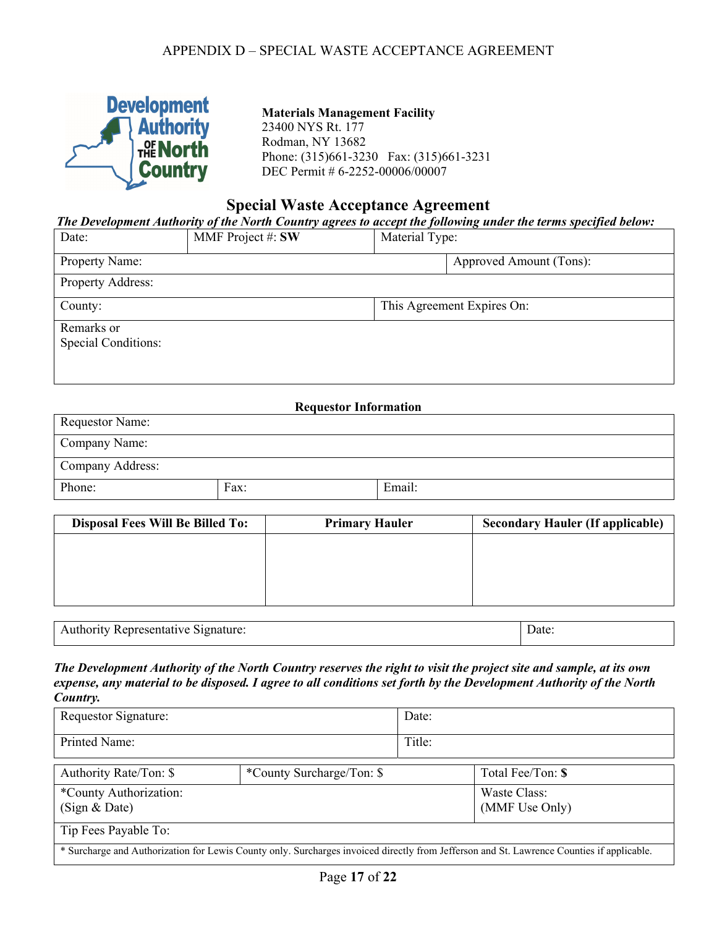

# **Materials Management Facility**  23400 NYS Rt. 177 Rodman, NY 13682

Phone: (315)661-3230 Fax: (315)661-3231 DEC Permit # 6-2252-00006/00007

### **Special Waste Acceptance Agreement**

*The Development Authority of the North Country agrees to accept the following under the terms specified below:* 

| Date:                      | MMF Project #: SW | Material Type: |                            |
|----------------------------|-------------------|----------------|----------------------------|
| Property Name:             |                   |                | Approved Amount (Tons):    |
| Property Address:          |                   |                |                            |
| County:                    |                   |                | This Agreement Expires On: |
| Remarks or                 |                   |                |                            |
| <b>Special Conditions:</b> |                   |                |                            |
|                            |                   |                |                            |
|                            |                   |                |                            |

#### **Requestor Information**

| Requestor Name:  |      |        |
|------------------|------|--------|
| Company Name:    |      |        |
| Company Address: |      |        |
| Phone:           | Fax: | Email: |

| <b>Disposal Fees Will Be Billed To:</b> | <b>Primary Hauler</b> | <b>Secondary Hauler (If applicable)</b> |
|-----------------------------------------|-----------------------|-----------------------------------------|
|                                         |                       |                                         |
|                                         |                       |                                         |
|                                         |                       |                                         |
|                                         |                       |                                         |

| $A$ anti- $A$<br>Signature.<br>. :пте<br>⊶uau v⊏ |  |
|--------------------------------------------------|--|
|                                                  |  |

*The Development Authority of the North Country reserves the right to visit the project site and sample, at its own expense, any material to be disposed. I agree to all conditions set forth by the Development Authority of the North Country.* 

| Requestor Signature:                                                                                                                      |                           | Date:  |                                |
|-------------------------------------------------------------------------------------------------------------------------------------------|---------------------------|--------|--------------------------------|
| Printed Name:                                                                                                                             |                           | Title: |                                |
| Authority Rate/Ton: \$                                                                                                                    | *County Surcharge/Ton: \$ |        | Total Fee/Ton: \$              |
| *County Authorization:<br>(Sign & Date)                                                                                                   |                           |        | Waste Class:<br>(MMF Use Only) |
| Tip Fees Payable To:                                                                                                                      |                           |        |                                |
| * Surcharge and Authorization for Lewis County only. Surcharges invoiced directly from Jefferson and St. Lawrence Counties if applicable. |                           |        |                                |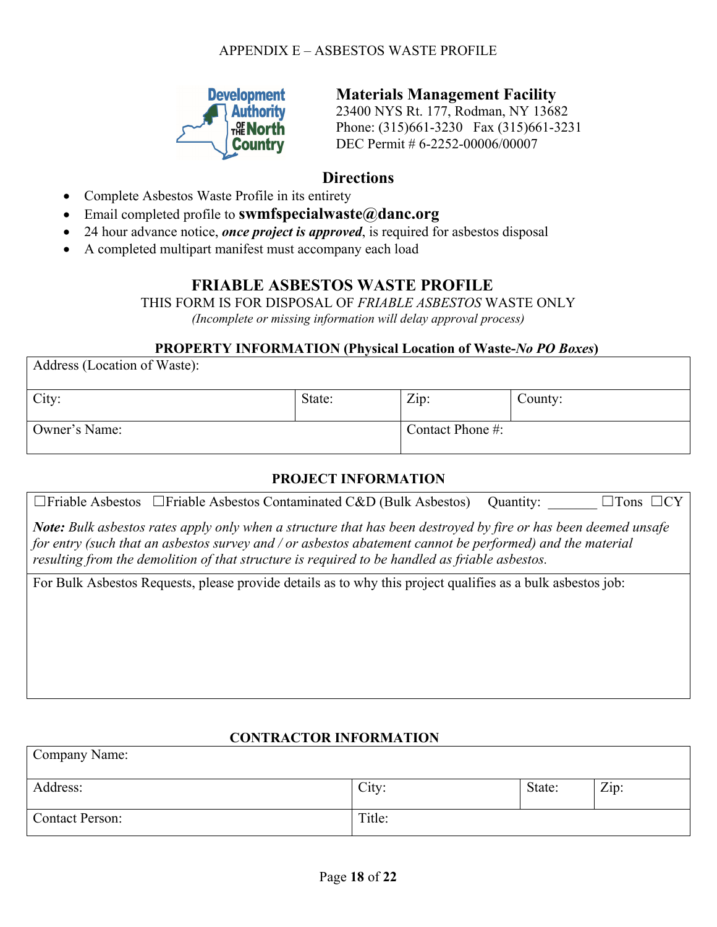## APPENDIX E – ASBESTOS WASTE PROFILE



**Materials Management Facility**

23400 NYS Rt. 177, Rodman, NY 13682 Phone: (315)661-3230 Fax (315)661-3231 DEC Permit # 6-2252-00006/00007

# **Directions**

Complete Asbestos Waste Profile in its entirety

Address (Location of Waste):

- Email completed profile to **swmfspecialwaste@danc.org**
- 24 hour advance notice, *once project is approved*, is required for asbestos disposal
- A completed multipart manifest must accompany each load

# **FRIABLE ASBESTOS WASTE PROFILE**

THIS FORM IS FOR DISPOSAL OF *FRIABLE ASBESTOS* WASTE ONLY *(Incomplete or missing information will delay approval process)* 

### **PROPERTY INFORMATION (Physical Location of Waste-***No PO Boxes***)**

| Address (Location of waste): |        |                  |         |
|------------------------------|--------|------------------|---------|
| City:                        | State: | Zip:             | County: |
| Owner's Name:                |        | Contact Phone #: |         |

## **PROJECT INFORMATION**

|  |  | $\Box$ Friable Asbestos $\Box$ Friable Asbestos Contaminated C&D (Bulk Asbestos) Quantity: $\Box$ $\Box$ Tons $\Box$ CY |  |  |  |
|--|--|-------------------------------------------------------------------------------------------------------------------------|--|--|--|
|--|--|-------------------------------------------------------------------------------------------------------------------------|--|--|--|

*Note: Bulk asbestos rates apply only when a structure that has been destroyed by fire or has been deemed unsafe for entry (such that an asbestos survey and / or asbestos abatement cannot be performed) and the material resulting from the demolition of that structure is required to be handled as friable asbestos.* 

For Bulk Asbestos Requests, please provide details as to why this project qualifies as a bulk asbestos job:

## **CONTRACTOR INFORMATION**

| Company Name:          |        |        |      |
|------------------------|--------|--------|------|
| Address:               | City:  | State: | Zip: |
| <b>Contact Person:</b> | Title: |        |      |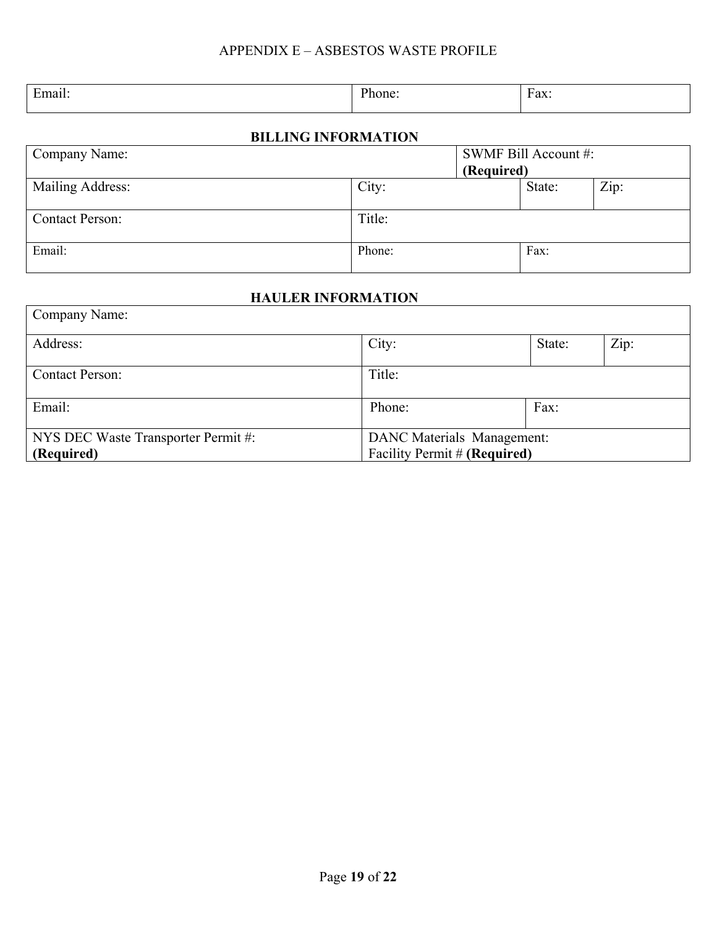| Ð<br>. . | - | . |
|----------|---|---|
|          |   |   |

# **BILLING INFORMATION**

| Company Name:          |        |            | SWMF Bill Account #: |      |
|------------------------|--------|------------|----------------------|------|
|                        |        | (Required) |                      |      |
| Mailing Address:       | City:  |            | State:               | Zip: |
|                        |        |            |                      |      |
| <b>Contact Person:</b> | Title: |            |                      |      |
|                        |        |            |                      |      |
| Email:                 | Phone: |            | Fax:                 |      |
|                        |        |            |                      |      |

## **HAULER INFORMATION**

| Company Name:                       |                                   |        |      |
|-------------------------------------|-----------------------------------|--------|------|
| Address:                            | City:                             | State: | Zip: |
| <b>Contact Person:</b>              | Title:                            |        |      |
| Email:                              | Phone:                            | Fax:   |      |
| NYS DEC Waste Transporter Permit #: | <b>DANC</b> Materials Management: |        |      |
| (Required)                          | Facility Permit # (Required)      |        |      |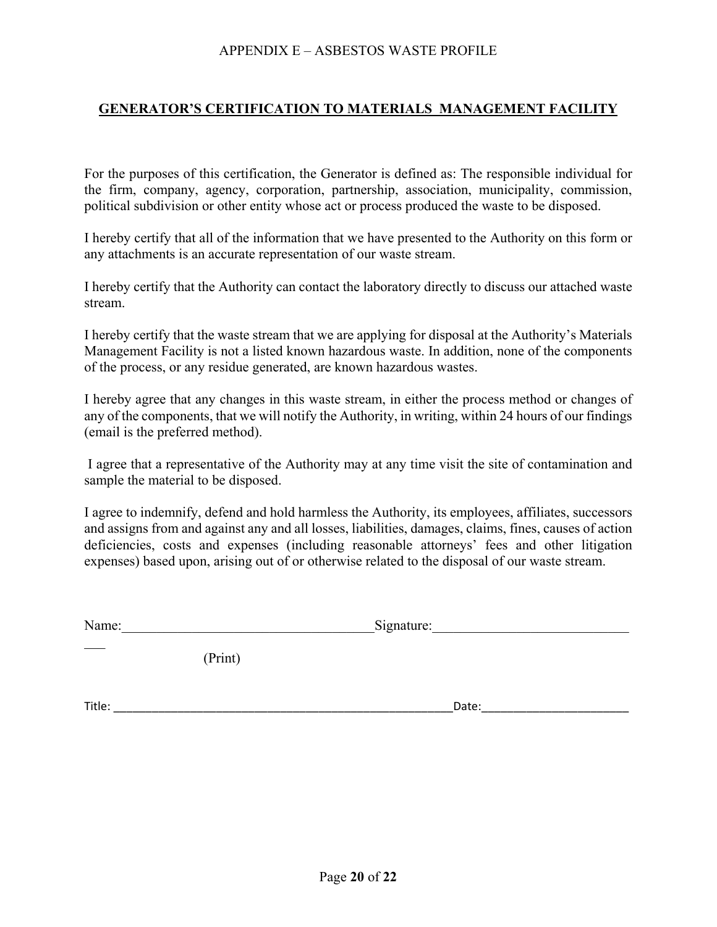### APPENDIX E – ASBESTOS WASTE PROFILE

## **GENERATOR'S CERTIFICATION TO MATERIALS MANAGEMENT FACILITY**

For the purposes of this certification, the Generator is defined as: The responsible individual for the firm, company, agency, corporation, partnership, association, municipality, commission, political subdivision or other entity whose act or process produced the waste to be disposed.

I hereby certify that all of the information that we have presented to the Authority on this form or any attachments is an accurate representation of our waste stream.

I hereby certify that the Authority can contact the laboratory directly to discuss our attached waste stream.

I hereby certify that the waste stream that we are applying for disposal at the Authority's Materials Management Facility is not a listed known hazardous waste. In addition, none of the components of the process, or any residue generated, are known hazardous wastes.

I hereby agree that any changes in this waste stream, in either the process method or changes of any of the components, that we will notify the Authority, in writing, within 24 hours of our findings (email is the preferred method).

 I agree that a representative of the Authority may at any time visit the site of contamination and sample the material to be disposed.

I agree to indemnify, defend and hold harmless the Authority, its employees, affiliates, successors and assigns from and against any and all losses, liabilities, damages, claims, fines, causes of action deficiencies, costs and expenses (including reasonable attorneys' fees and other litigation expenses) based upon, arising out of or otherwise related to the disposal of our waste stream.

(Print)

Title:  $\blacksquare$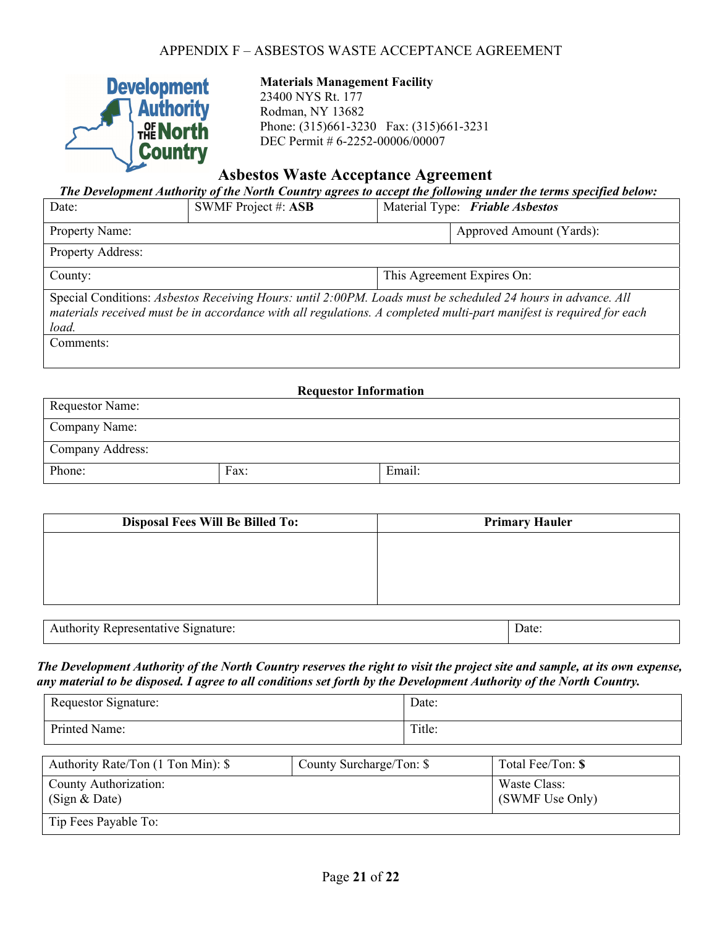

### **Materials Management Facility**

23400 NYS Rt. 177 Rodman, NY 13682 Phone: (315)661-3230 Fax: (315)661-3231 DEC Permit # 6-2252-00006/00007

# **Asbestos Waste Acceptance Agreement**

| The Development Authority of the North Country agrees to accept the following under the terms specified below: |                                                                                                              |                                 |                                                                                                                     |  |
|----------------------------------------------------------------------------------------------------------------|--------------------------------------------------------------------------------------------------------------|---------------------------------|---------------------------------------------------------------------------------------------------------------------|--|
| Date:                                                                                                          | SWMF Project #: ASB                                                                                          | Material Type: Friable Asbestos |                                                                                                                     |  |
| Property Name:                                                                                                 |                                                                                                              |                                 | Approved Amount (Yards):                                                                                            |  |
| <b>Property Address:</b>                                                                                       |                                                                                                              |                                 |                                                                                                                     |  |
| County:                                                                                                        | This Agreement Expires On:                                                                                   |                                 |                                                                                                                     |  |
| load.                                                                                                          | Special Conditions: Asbestos Receiving Hours: until 2:00PM. Loads must be scheduled 24 hours in advance. All |                                 | materials received must be in accordance with all regulations. A completed multi-part manifest is required for each |  |
| Comments:                                                                                                      |                                                                                                              |                                 |                                                                                                                     |  |
|                                                                                                                |                                                                                                              |                                 |                                                                                                                     |  |

| <b>Requestor Information</b> |      |        |
|------------------------------|------|--------|
| <b>Requestor Name:</b>       |      |        |
| Company Name:                |      |        |
| Company Address:             |      |        |
| Phone:                       | Fax: | Email: |

| <b>Disposal Fees Will Be Billed To:</b> | <b>Primary Hauler</b> |
|-----------------------------------------|-----------------------|
|                                         |                       |
|                                         |                       |
|                                         |                       |
|                                         |                       |

| эr<br>'IVE.<br>≞m<br>наш<br>$\sim$<br><u>in the state of the state of the state of the state of the state of the state of the state of the state of the state of the state of the state of the state of the state of the state of the state of the state of the state </u> | Jate |
|----------------------------------------------------------------------------------------------------------------------------------------------------------------------------------------------------------------------------------------------------------------------------|------|
|                                                                                                                                                                                                                                                                            |      |

*The Development Authority of the North Country reserves the right to visit the project site and sample, at its own expense, any material to be disposed. I agree to all conditions set forth by the Development Authority of the North Country.* 

| Requestor Signature: | Date:  |
|----------------------|--------|
| Printed Name:        | Title: |

| Authority Rate/Ton (1 Ton Min): \$     | County Surcharge/Ton: \$ | Total Fee/Ton: \$               |
|----------------------------------------|--------------------------|---------------------------------|
| County Authorization:<br>(Sign & Date) |                          | Waste Class:<br>(SWMF Use Only) |
| Tip Fees Payable To:                   |                          |                                 |